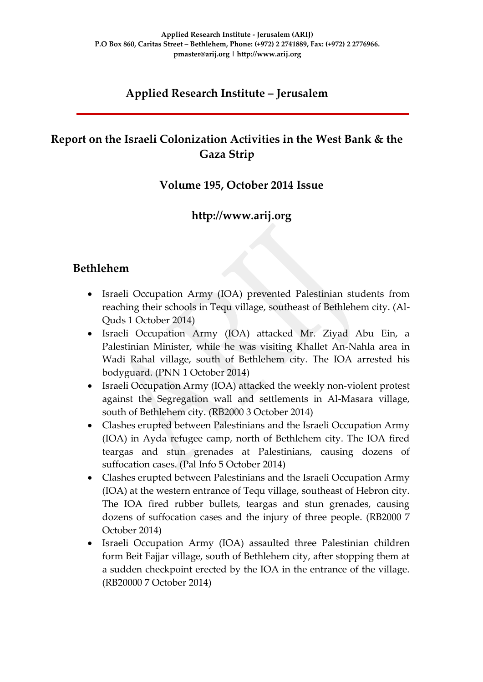# **Applied Research Institute – Jerusalem**

# **Report on the Israeli Colonization Activities in the West Bank & the Gaza Strip**

### **Volume 195, October 2014 Issue**

## **http://www.arij.org**

### **Bethlehem**

- Israeli Occupation Army (IOA) prevented Palestinian students from reaching their schools in Tequ village, southeast of Bethlehem city. (Al-Quds 1 October 2014)
- Israeli Occupation Army (IOA) attacked Mr. Ziyad Abu Ein, a Palestinian Minister, while he was visiting Khallet An-Nahla area in Wadi Rahal village, south of Bethlehem city. The IOA arrested his bodyguard. (PNN 1 October 2014)
- Israeli Occupation Army (IOA) attacked the weekly non-violent protest against the Segregation wall and settlements in Al-Masara village, south of Bethlehem city. (RB2000 3 October 2014)
- Clashes erupted between Palestinians and the Israeli Occupation Army (IOA) in Ayda refugee camp, north of Bethlehem city. The IOA fired teargas and stun grenades at Palestinians, causing dozens of suffocation cases. (Pal Info 5 October 2014)
- Clashes erupted between Palestinians and the Israeli Occupation Army (IOA) at the western entrance of Tequ village, southeast of Hebron city. The IOA fired rubber bullets, teargas and stun grenades, causing dozens of suffocation cases and the injury of three people. (RB2000 7 October 2014)
- Israeli Occupation Army (IOA) assaulted three Palestinian children form Beit Fajjar village, south of Bethlehem city, after stopping them at a sudden checkpoint erected by the IOA in the entrance of the village. (RB20000 7 October 2014)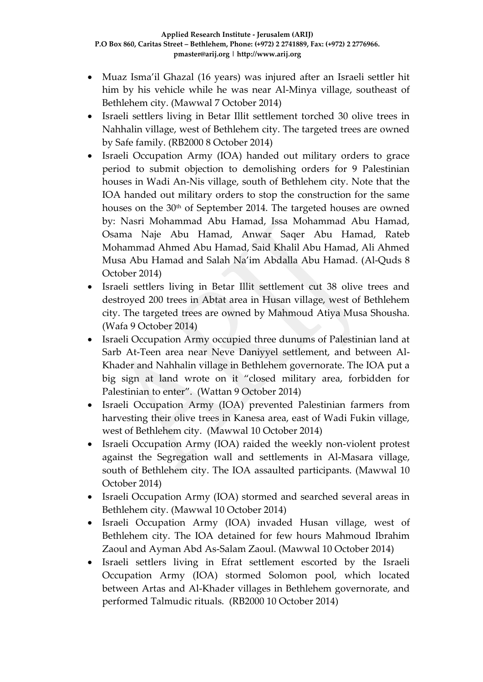- Muaz Isma'il Ghazal (16 years) was injured after an Israeli settler hit him by his vehicle while he was near Al-Minya village, southeast of Bethlehem city. (Mawwal 7 October 2014)
- Israeli settlers living in Betar Illit settlement torched 30 olive trees in Nahhalin village, west of Bethlehem city. The targeted trees are owned by Safe family. (RB2000 8 October 2014)
- Israeli Occupation Army (IOA) handed out military orders to grace period to submit objection to demolishing orders for 9 Palestinian houses in Wadi An-Nis village, south of Bethlehem city. Note that the IOA handed out military orders to stop the construction for the same houses on the 30<sup>th</sup> of September 2014. The targeted houses are owned by: Nasri Mohammad Abu Hamad, Issa Mohammad Abu Hamad, Osama Naje Abu Hamad, Anwar Saqer Abu Hamad, Rateb Mohammad Ahmed Abu Hamad, Said Khalil Abu Hamad, Ali Ahmed Musa Abu Hamad and Salah Na'im Abdalla Abu Hamad. (Al-Quds 8 October 2014)
- Israeli settlers living in Betar Illit settlement cut 38 olive trees and destroyed 200 trees in Abtat area in Husan village, west of Bethlehem city. The targeted trees are owned by Mahmoud Atiya Musa Shousha. (Wafa 9 October 2014)
- Israeli Occupation Army occupied three dunums of Palestinian land at Sarb At-Teen area near Neve Daniyyel settlement, and between Al-Khader and Nahhalin village in Bethlehem governorate. The IOA put a big sign at land wrote on it "closed military area, forbidden for Palestinian to enter". (Wattan 9 October 2014)
- Israeli Occupation Army (IOA) prevented Palestinian farmers from harvesting their olive trees in Kanesa area, east of Wadi Fukin village, west of Bethlehem city. (Mawwal 10 October 2014)
- Israeli Occupation Army (IOA) raided the weekly non-violent protest against the Segregation wall and settlements in Al-Masara village, south of Bethlehem city. The IOA assaulted participants. (Mawwal 10 October 2014)
- Israeli Occupation Army (IOA) stormed and searched several areas in Bethlehem city. (Mawwal 10 October 2014)
- Israeli Occupation Army (IOA) invaded Husan village, west of Bethlehem city. The IOA detained for few hours Mahmoud Ibrahim Zaoul and Ayman Abd As-Salam Zaoul. (Mawwal 10 October 2014)
- Israeli settlers living in Efrat settlement escorted by the Israeli Occupation Army (IOA) stormed Solomon pool, which located between Artas and Al-Khader villages in Bethlehem governorate, and performed Talmudic rituals. (RB2000 10 October 2014)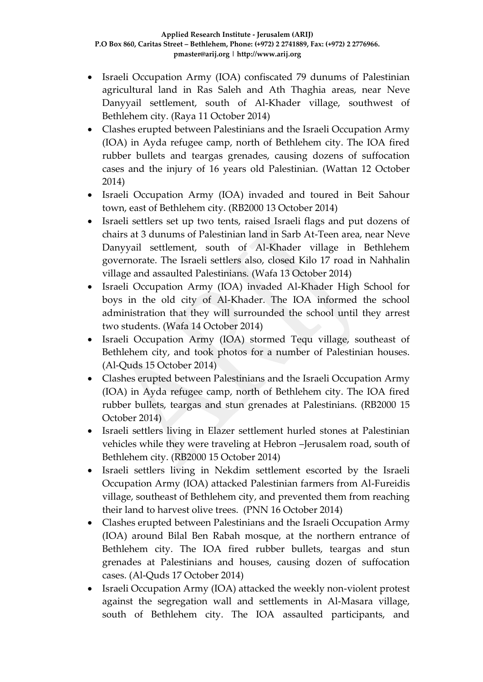- Israeli Occupation Army (IOA) confiscated 79 dunums of Palestinian agricultural land in Ras Saleh and Ath Thaghia areas, near Neve Danyyail settlement, south of Al-Khader village, southwest of Bethlehem city. (Raya 11 October 2014)
- Clashes erupted between Palestinians and the Israeli Occupation Army (IOA) in Ayda refugee camp, north of Bethlehem city. The IOA fired rubber bullets and teargas grenades, causing dozens of suffocation cases and the injury of 16 years old Palestinian. (Wattan 12 October 2014)
- Israeli Occupation Army (IOA) invaded and toured in Beit Sahour town, east of Bethlehem city. (RB2000 13 October 2014)
- Israeli settlers set up two tents, raised Israeli flags and put dozens of chairs at 3 dunums of Palestinian land in Sarb At-Teen area, near Neve Danyyail settlement, south of Al-Khader village in Bethlehem governorate. The Israeli settlers also, closed Kilo 17 road in Nahhalin village and assaulted Palestinians. (Wafa 13 October 2014)
- Israeli Occupation Army (IOA) invaded Al-Khader High School for boys in the old city of Al-Khader. The IOA informed the school administration that they will surrounded the school until they arrest two students. (Wafa 14 October 2014)
- Israeli Occupation Army (IOA) stormed Tequ village, southeast of Bethlehem city, and took photos for a number of Palestinian houses. (Al-Quds 15 October 2014)
- Clashes erupted between Palestinians and the Israeli Occupation Army (IOA) in Ayda refugee camp, north of Bethlehem city. The IOA fired rubber bullets, teargas and stun grenades at Palestinians. (RB2000 15 October 2014)
- Israeli settlers living in Elazer settlement hurled stones at Palestinian vehicles while they were traveling at Hebron –Jerusalem road, south of Bethlehem city. (RB2000 15 October 2014)
- Israeli settlers living in Nekdim settlement escorted by the Israeli Occupation Army (IOA) attacked Palestinian farmers from Al-Fureidis village, southeast of Bethlehem city, and prevented them from reaching their land to harvest olive trees. (PNN 16 October 2014)
- Clashes erupted between Palestinians and the Israeli Occupation Army (IOA) around Bilal Ben Rabah mosque, at the northern entrance of Bethlehem city. The IOA fired rubber bullets, teargas and stun grenades at Palestinians and houses, causing dozen of suffocation cases. (Al-Quds 17 October 2014)
- Israeli Occupation Army (IOA) attacked the weekly non-violent protest against the segregation wall and settlements in Al-Masara village, south of Bethlehem city. The IOA assaulted participants, and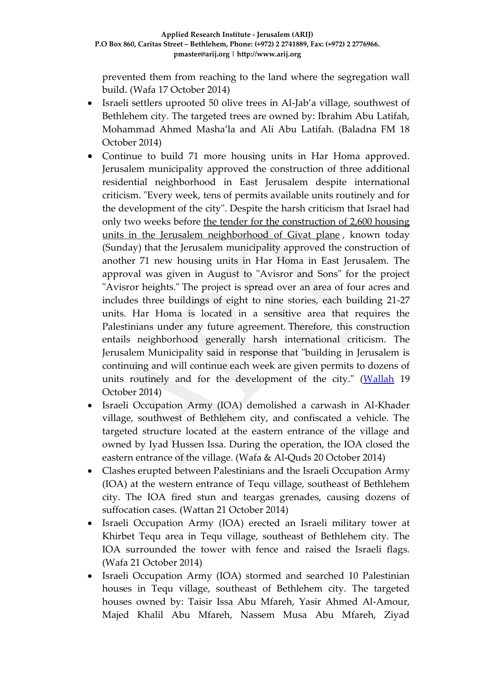prevented them from reaching to the land where the segregation wall build. (Wafa 17 October 2014)

- Israeli settlers uprooted 50 olive trees in Al-Jab'a village, southwest of Bethlehem city. The targeted trees are owned by: Ibrahim Abu Latifah, Mohammad Ahmed Masha'la and Ali Abu Latifah. (Baladna FM 18 October 2014)
- Continue to build 71 more housing units in Har Homa approved. Jerusalem municipality approved the construction of three additional residential neighborhood in East Jerusalem despite international criticism. "Every week, tens of permits available units routinely and for the development of the city". Despite the harsh criticism that Israel had only two weeks before [the tender for the construction of 2,600 housing](http://news.walla.co.il/item/2790133)  [units in the Jerusalem neighborhood of Givat plane](http://news.walla.co.il/item/2790133) , known today (Sunday) that the Jerusalem municipality approved the construction of another 71 new housing units in Har Homa in East Jerusalem. The approval was given in August to "Avisror and Sons" for the project "Avisror heights." The project is spread over an area of four acres and includes three buildings of eight to nine stories, each building 21-27 units. Har Homa is located in a sensitive area that requires the Palestinians under any future agreement. Therefore, this construction entails neighborhood generally harsh international criticism. The Jerusalem Municipality said in response that "building in Jerusalem is continuing and will continue each week are given permits to dozens of units routinely and for the development of the city." [\(Wallah](http://news.walla.co.il/item/2794102) 19 October 2014)
- Israeli Occupation Army (IOA) demolished a carwash in Al-Khader village, southwest of Bethlehem city, and confiscated a vehicle. The targeted structure located at the eastern entrance of the village and owned by Iyad Hussen Issa. During the operation, the IOA closed the eastern entrance of the village. (Wafa & Al-Quds 20 October 2014)
- Clashes erupted between Palestinians and the Israeli Occupation Army (IOA) at the western entrance of Tequ village, southeast of Bethlehem city. The IOA fired stun and teargas grenades, causing dozens of suffocation cases. (Wattan 21 October 2014)
- Israeli Occupation Army (IOA) erected an Israeli military tower at Khirbet Tequ area in Tequ village, southeast of Bethlehem city. The IOA surrounded the tower with fence and raised the Israeli flags. (Wafa 21 October 2014)
- Israeli Occupation Army (IOA) stormed and searched 10 Palestinian houses in Tequ village, southeast of Bethlehem city. The targeted houses owned by: Taisir Issa Abu Mfareh, Yasir Ahmed Al-Amour, Majed Khalil Abu Mfareh, Nassem Musa Abu Mfareh, Ziyad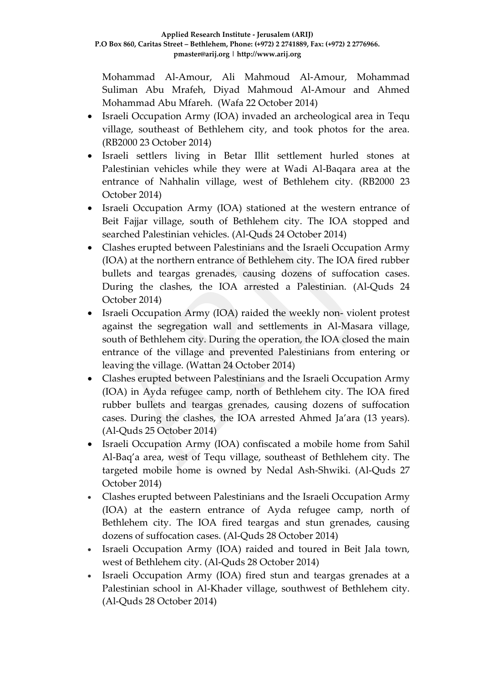Mohammad Al-Amour, Ali Mahmoud Al-Amour, Mohammad Suliman Abu Mrafeh, Diyad Mahmoud Al-Amour and Ahmed Mohammad Abu Mfareh. (Wafa 22 October 2014)

- Israeli Occupation Army (IOA) invaded an archeological area in Tequ village, southeast of Bethlehem city, and took photos for the area. (RB2000 23 October 2014)
- Israeli settlers living in Betar Illit settlement hurled stones at Palestinian vehicles while they were at Wadi Al-Baqara area at the entrance of Nahhalin village, west of Bethlehem city. (RB2000 23 October 2014)
- Israeli Occupation Army (IOA) stationed at the western entrance of Beit Fajjar village, south of Bethlehem city. The IOA stopped and searched Palestinian vehicles. (Al-Quds 24 October 2014)
- Clashes erupted between Palestinians and the Israeli Occupation Army (IOA) at the northern entrance of Bethlehem city. The IOA fired rubber bullets and teargas grenades, causing dozens of suffocation cases. During the clashes, the IOA arrested a Palestinian. (Al-Quds 24 October 2014)
- Israeli Occupation Army (IOA) raided the weekly non-violent protest against the segregation wall and settlements in Al-Masara village, south of Bethlehem city. During the operation, the IOA closed the main entrance of the village and prevented Palestinians from entering or leaving the village. (Wattan 24 October 2014)
- Clashes erupted between Palestinians and the Israeli Occupation Army (IOA) in Ayda refugee camp, north of Bethlehem city. The IOA fired rubber bullets and teargas grenades, causing dozens of suffocation cases. During the clashes, the IOA arrested Ahmed Ja'ara (13 years). (Al-Quds 25 October 2014)
- Israeli Occupation Army (IOA) confiscated a mobile home from Sahil Al-Baq'a area, west of Tequ village, southeast of Bethlehem city. The targeted mobile home is owned by Nedal Ash-Shwiki. (Al-Quds 27 October 2014)
- Clashes erupted between Palestinians and the Israeli Occupation Army (IOA) at the eastern entrance of Ayda refugee camp, north of Bethlehem city. The IOA fired teargas and stun grenades, causing dozens of suffocation cases. (Al-Quds 28 October 2014)
- Israeli Occupation Army (IOA) raided and toured in Beit Jala town, west of Bethlehem city. (Al-Quds 28 October 2014)
- Israeli Occupation Army (IOA) fired stun and teargas grenades at a Palestinian school in Al-Khader village, southwest of Bethlehem city. (Al-Quds 28 October 2014)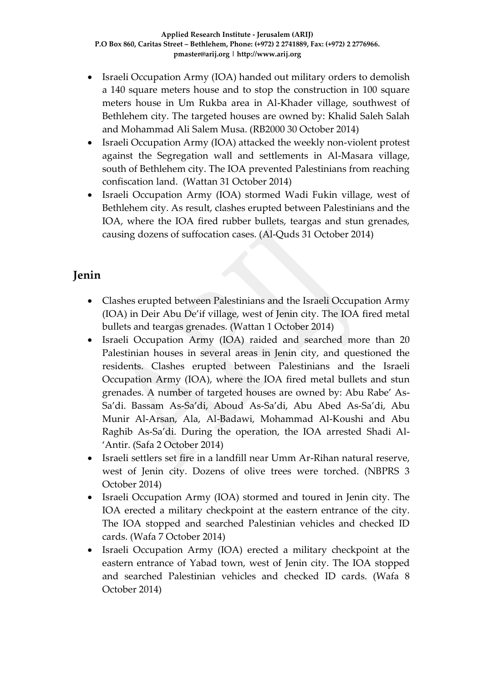- Israeli Occupation Army (IOA) handed out military orders to demolish a 140 square meters house and to stop the construction in 100 square meters house in Um Rukba area in Al-Khader village, southwest of Bethlehem city. The targeted houses are owned by: Khalid Saleh Salah and Mohammad Ali Salem Musa. (RB2000 30 October 2014)
- Israeli Occupation Army (IOA) attacked the weekly non-violent protest against the Segregation wall and settlements in Al-Masara village, south of Bethlehem city. The IOA prevented Palestinians from reaching confiscation land. (Wattan 31 October 2014)
- Israeli Occupation Army (IOA) stormed Wadi Fukin village, west of Bethlehem city. As result, clashes erupted between Palestinians and the IOA, where the IOA fired rubber bullets, teargas and stun grenades, causing dozens of suffocation cases. (Al-Quds 31 October 2014)

# **Jenin**

- Clashes erupted between Palestinians and the Israeli Occupation Army (IOA) in Deir Abu De'if village, west of Jenin city. The IOA fired metal bullets and teargas grenades. (Wattan 1 October 2014)
- Israeli Occupation Army (IOA) raided and searched more than 20 Palestinian houses in several areas in Jenin city, and questioned the residents. Clashes erupted between Palestinians and the Israeli Occupation Army (IOA), where the IOA fired metal bullets and stun grenades. A number of targeted houses are owned by: Abu Rabe' As-Sa'di. Bassam As-Sa'di, Aboud As-Sa'di, Abu Abed As-Sa'di, Abu Munir Al-Arsan, Ala, Al-Badawi, Mohammad Al-Koushi and Abu Raghib As-Sa'di. During the operation, the IOA arrested Shadi Al- 'Antir. (Safa 2 October 2014)
- Israeli settlers set fire in a landfill near Umm Ar-Rihan natural reserve, west of Jenin city. Dozens of olive trees were torched. (NBPRS 3 October 2014)
- Israeli Occupation Army (IOA) stormed and toured in Jenin city. The IOA erected a military checkpoint at the eastern entrance of the city. The IOA stopped and searched Palestinian vehicles and checked ID cards. (Wafa 7 October 2014)
- Israeli Occupation Army (IOA) erected a military checkpoint at the eastern entrance of Yabad town, west of Jenin city. The IOA stopped and searched Palestinian vehicles and checked ID cards. (Wafa 8 October 2014)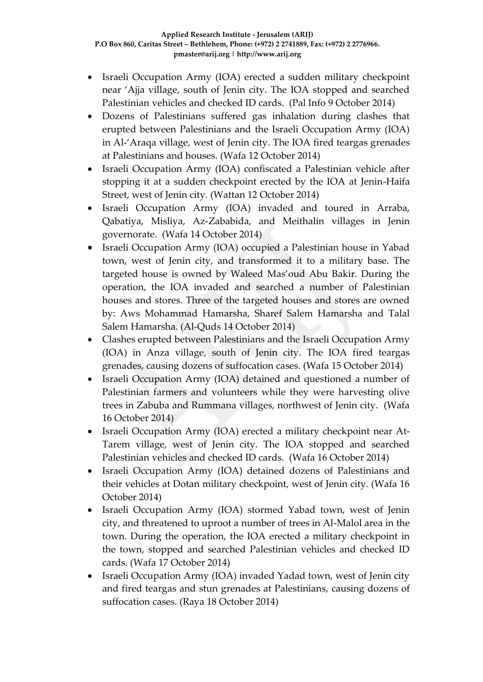- Israeli Occupation Army (IOA) erected a sudden military checkpoint near 'Ajja village, south of Jenin city. The IOA stopped and searched Palestinian vehicles and checked ID cards. (Pal Info 9 October 2014)
- Dozens of Palestinians suffered gas inhalation during clashes that erupted between Palestinians and the Israeli Occupation Army (IOA) in Al-'Araqa village, west of Jenin city. The IOA fired teargas grenades at Palestinians and houses. (Wafa 12 October 2014)
- Israeli Occupation Army (IOA) confiscated a Palestinian vehicle after stopping it at a sudden checkpoint erected by the IOA at Jenin-Haifa Street, west of Jenin city. (Wattan 12 October 2014)
- Israeli Occupation Army (IOA) invaded and toured in Arraba, Qabatiya, Misliya, Az-Zababida, and Meithalin villages in Jenin governorate. (Wafa 14 October 2014)
- Israeli Occupation Army (IOA) occupied a Palestinian house in Yabad town, west of Jenin city, and transformed it to a military base. The targeted house is owned by Waleed Mas'oud Abu Bakir. During the operation, the IOA invaded and searched a number of Palestinian houses and stores. Three of the targeted houses and stores are owned by: Aws Mohammad Hamarsha, Sharef Salem Hamarsha and Talal Salem Hamarsha. (Al-Quds 14 October 2014)
- Clashes erupted between Palestinians and the Israeli Occupation Army (IOA) in Anza village, south of Jenin city. The IOA fired teargas grenades, causing dozens of suffocation cases. (Wafa 15 October 2014)
- Israeli Occupation Army (IOA) detained and questioned a number of Palestinian farmers and volunteers while they were harvesting olive trees in Zabuba and Rummana villages, northwest of Jenin city. (Wafa 16 October 2014)
- Israeli Occupation Army (IOA) erected a military checkpoint near At-Tarem village, west of Jenin city. The IOA stopped and searched Palestinian vehicles and checked ID cards. (Wafa 16 October 2014)
- Israeli Occupation Army (IOA) detained dozens of Palestinians and their vehicles at Dotan military checkpoint, west of Jenin city. (Wafa 16 October 2014)
- Israeli Occupation Army (IOA) stormed Yabad town, west of Jenin city, and threatened to uproot a number of trees in Al-Malol area in the town. During the operation, the IOA erected a military checkpoint in the town, stopped and searched Palestinian vehicles and checked ID cards. (Wafa 17 October 2014)
- Israeli Occupation Army (IOA) invaded Yadad town, west of Jenin city and fired teargas and stun grenades at Palestinians, causing dozens of suffocation cases. (Raya 18 October 2014)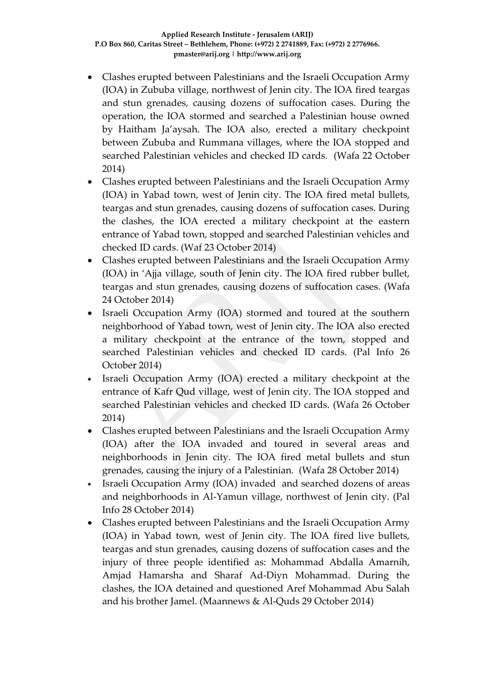- Clashes erupted between Palestinians and the Israeli Occupation Army (IOA) in Zububa village, northwest of Jenin city. The IOA fired teargas and stun grenades, causing dozens of suffocation cases. During the operation, the IOA stormed and searched a Palestinian house owned by Haitham Ja'aysah. The IOA also, erected a military checkpoint between Zububa and Rummana villages, where the IOA stopped and searched Palestinian vehicles and checked ID cards. (Wafa 22 October 2014)
- Clashes erupted between Palestinians and the Israeli Occupation Army (IOA) in Yabad town, west of Jenin city. The IOA fired metal bullets, teargas and stun grenades, causing dozens of suffocation cases. During the clashes, the IOA erected a military checkpoint at the eastern entrance of Yabad town, stopped and searched Palestinian vehicles and checked ID cards. (Waf 23 October 2014)
- Clashes erupted between Palestinians and the Israeli Occupation Army (IOA) in 'Ajja village, south of Jenin city. The IOA fired rubber bullet, teargas and stun grenades, causing dozens of suffocation cases. (Wafa 24 October 2014)
- Israeli Occupation Army (IOA) stormed and toured at the southern neighborhood of Yabad town, west of Jenin city. The IOA also erected a military checkpoint at the entrance of the town, stopped and searched Palestinian vehicles and checked ID cards. (Pal Info 26 October 2014)
- Israeli Occupation Army (IOA) erected a military checkpoint at the entrance of Kafr Qud village, west of Jenin city. The IOA stopped and searched Palestinian vehicles and checked ID cards. (Wafa 26 October 2014)
- Clashes erupted between Palestinians and the Israeli Occupation Army (IOA) after the IOA invaded and toured in several areas and neighborhoods in Jenin city. The IOA fired metal bullets and stun grenades, causing the injury of a Palestinian. (Wafa 28 October 2014)
- Israeli Occupation Army (IOA) invaded and searched dozens of areas and neighborhoods in Al-Yamun village, northwest of Jenin city. (Pal Info 28 October 2014)
- Clashes erupted between Palestinians and the Israeli Occupation Army (IOA) in Yabad town, west of Jenin city. The IOA fired live bullets, teargas and stun grenades, causing dozens of suffocation cases and the injury of three people identified as: Mohammad Abdalla Amarnih, Amjad Hamarsha and Sharaf Ad-Diyn Mohammad. During the clashes, the IOA detained and questioned Aref Mohammad Abu Salah and his brother Jamel. (Maannews & Al-Quds 29 October 2014)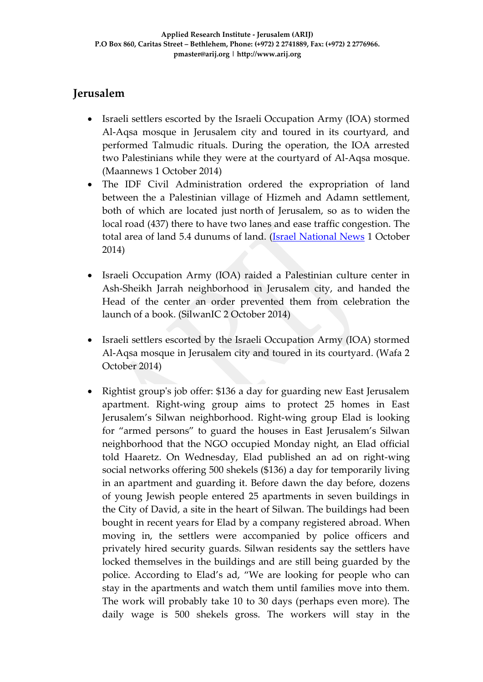# **Jerusalem**

- Israeli settlers escorted by the Israeli Occupation Army (IOA) stormed Al-Aqsa mosque in Jerusalem city and toured in its courtyard, and performed Talmudic rituals. During the operation, the IOA arrested two Palestinians while they were at the courtyard of Al-Aqsa mosque. (Maannews 1 October 2014)
- The IDF Civil Administration ordered the expropriation of land between the a Palestinian village of Hizmeh and Adamn settlement, both of which are located just north of Jerusalem, so as to widen the local road (437) there to have two lanes and ease traffic congestion. The total area of land 5.4 dunums of land. [\(Israel National News](http://www.israelnationalnews.com/News/News.aspx/185669#.VCulvPmSypc) 1 October 2014)
- Israeli Occupation Army (IOA) raided a Palestinian culture center in Ash-Sheikh Jarrah neighborhood in Jerusalem city, and handed the Head of the center an order prevented them from celebration the launch of a book. (SilwanIC 2 October 2014)
- Israeli settlers escorted by the Israeli Occupation Army (IOA) stormed Al-Aqsa mosque in Jerusalem city and toured in its courtyard. (Wafa 2 October 2014)
- Rightist group's job offer: \$136 a day for guarding new East Jerusalem apartment. Right-wing group aims to protect 25 homes in East Jerusalem's Silwan neighborhood. Right-wing group Elad is looking for "armed persons" to guard the houses in East Jerusalem's Silwan neighborhood that the NGO occupied Monday night, an Elad official told Haaretz. On Wednesday, Elad published an ad on right-wing social networks offering 500 shekels (\$136) a day for temporarily living in an apartment and guarding it. Before dawn the day before, dozens of young Jewish people entered 25 apartments in seven buildings in the City of David, a site in the heart of Silwan. The buildings had been bought in recent years for Elad by a company registered abroad. When moving in, the settlers were accompanied by police officers and privately hired security guards. Silwan residents say the settlers have locked themselves in the buildings and are still being guarded by the police. According to Elad's ad, "We are looking for people who can stay in the apartments and watch them until families move into them. The work will probably take 10 to 30 days (perhaps even more). The daily wage is 500 shekels gross. The workers will stay in the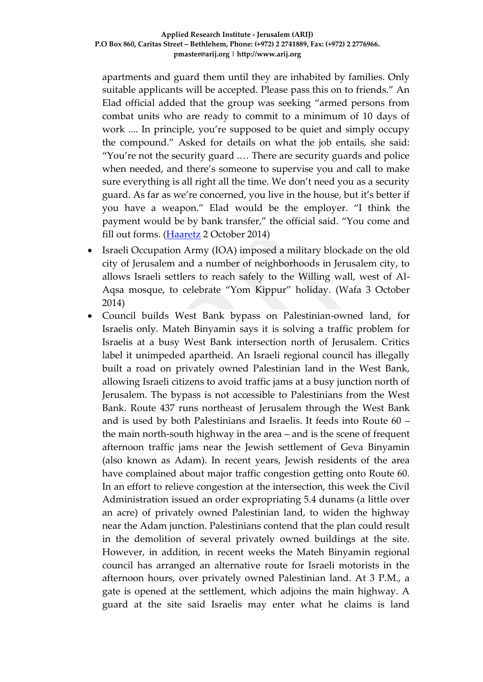apartments and guard them until they are inhabited by families. Only suitable applicants will be accepted. Please pass this on to friends." An Elad official added that the group was seeking "armed persons from combat units who are ready to commit to a minimum of 10 days of work .... In principle, you're supposed to be quiet and simply occupy the compound." Asked for details on what the job entails, she said: "You're not the security guard .… There are security guards and police when needed, and there's someone to supervise you and call to make sure everything is all right all the time. We don't need you as a security guard. As far as we're concerned, you live in the house, but it's better if you have a weapon." Elad would be the employer. "I think the payment would be by bank transfer," the official said. "You come and fill out forms. [\(Haaretz](http://www.haaretz.com/news/national/.premium-1.618745) 2 October 2014)

- Israeli Occupation Army (IOA) imposed a military blockade on the old city of Jerusalem and a number of neighborhoods in Jerusalem city, to allows Israeli settlers to reach safely to the Willing wall, west of Al-Aqsa mosque, to celebrate "Yom Kippur" holiday. (Wafa 3 October 2014)
- Council builds West Bank bypass on Palestinian-owned land, for Israelis only. Mateh Binyamin says it is solving a traffic problem for Israelis at a busy West Bank intersection north of Jerusalem. Critics label it unimpeded apartheid. An Israeli regional council has illegally built a road on privately owned Palestinian land in the West Bank, allowing Israeli citizens to avoid traffic jams at a busy junction north of Jerusalem. The bypass is not accessible to Palestinians from the West Bank. Route 437 runs northeast of Jerusalem through the West Bank and is used by both Palestinians and Israelis. It feeds into Route 60 – the main north-south highway in the area – and is the scene of frequent afternoon traffic jams near the Jewish settlement of Geva Binyamin (also known as Adam). In recent years, Jewish residents of the area have complained about major traffic congestion getting onto Route 60. In an effort to relieve congestion at the intersection, this week the Civil Administration issued an order expropriating 5.4 dunams (a little over an acre) of privately owned Palestinian land, to widen the highway near the Adam junction. Palestinians contend that the plan could result in the demolition of several privately owned buildings at the site. However, in addition, in recent weeks the Mateh Binyamin regional council has arranged an alternative route for Israeli motorists in the afternoon hours, over privately owned Palestinian land. At 3 P.M., a gate is opened at the settlement, which adjoins the main highway. A guard at the site said Israelis may enter what he claims is land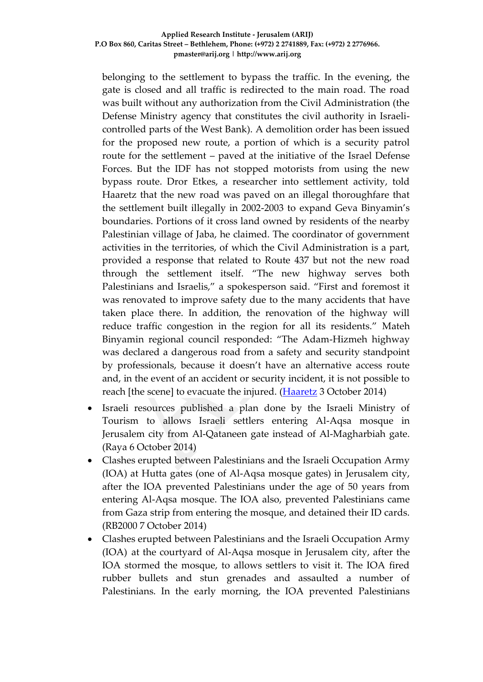belonging to the settlement to bypass the traffic. In the evening, the gate is closed and all traffic is redirected to the main road. The road was built without any authorization from the Civil Administration (the Defense Ministry agency that constitutes the civil authority in Israelicontrolled parts of the West Bank). A demolition order has been issued for the proposed new route, a portion of which is a security patrol route for the settlement – paved at the initiative of the Israel Defense Forces. But the IDF has not stopped motorists from using the new bypass route. Dror Etkes, a researcher into settlement activity, told Haaretz that the new road was paved on an illegal thoroughfare that the settlement built illegally in 2002-2003 to expand Geva Binyamin's boundaries. Portions of it cross land owned by residents of the nearby Palestinian village of Jaba, he claimed. The coordinator of government activities in the territories, of which the Civil Administration is a part, provided a response that related to Route 437 but not the new road through the settlement itself. "The new highway serves both Palestinians and Israelis," a spokesperson said. "First and foremost it was renovated to improve safety due to the many accidents that have taken place there. In addition, the renovation of the highway will reduce traffic congestion in the region for all its residents." Mateh Binyamin regional council responded: "The Adam-Hizmeh highway was declared a dangerous road from a safety and security standpoint by professionals, because it doesn't have an alternative access route and, in the event of an accident or security incident, it is not possible to reach [the scene] to evacuate the injured. [\(Haaretz](http://www.haaretz.com/news/national/.premium-1.618995) 3 October 2014)

- Israeli resources published a plan done by the Israeli Ministry of Tourism to allows Israeli settlers entering Al-Aqsa mosque in Jerusalem city from Al-Qataneen gate instead of Al-Magharbiah gate. (Raya 6 October 2014)
- Clashes erupted between Palestinians and the Israeli Occupation Army (IOA) at Hutta gates (one of Al-Aqsa mosque gates) in Jerusalem city, after the IOA prevented Palestinians under the age of 50 years from entering Al-Aqsa mosque. The IOA also, prevented Palestinians came from Gaza strip from entering the mosque, and detained their ID cards. (RB2000 7 October 2014)
- Clashes erupted between Palestinians and the Israeli Occupation Army (IOA) at the courtyard of Al-Aqsa mosque in Jerusalem city, after the IOA stormed the mosque, to allows settlers to visit it. The IOA fired rubber bullets and stun grenades and assaulted a number of Palestinians. In the early morning, the IOA prevented Palestinians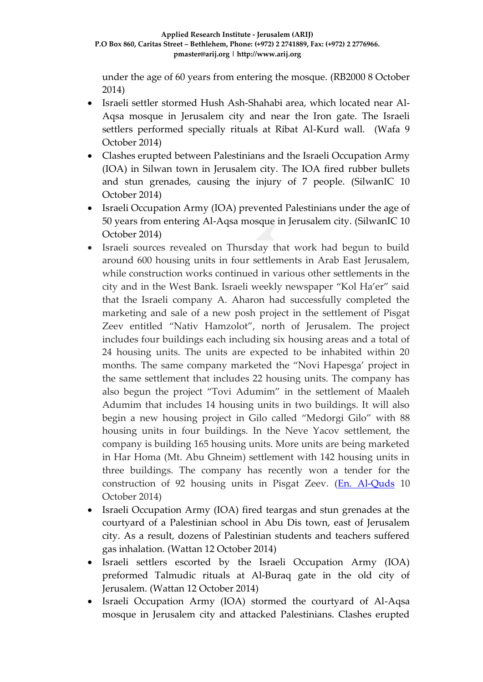under the age of 60 years from entering the mosque. (RB2000 8 October 2014)

- Israeli settler stormed Hush Ash-Shahabi area, which located near Al-Aqsa mosque in Jerusalem city and near the Iron gate. The Israeli settlers performed specially rituals at Ribat Al-Kurd wall. (Wafa 9 October 2014)
- Clashes erupted between Palestinians and the Israeli Occupation Army (IOA) in Silwan town in Jerusalem city. The IOA fired rubber bullets and stun grenades, causing the injury of 7 people. (SilwanIC 10 October 2014)
- Israeli Occupation Army (IOA) prevented Palestinians under the age of 50 years from entering Al-Aqsa mosque in Jerusalem city. (SilwanIC 10 October 2014)
- Israeli sources revealed on Thursday that work had begun to build around 600 housing units in four settlements in Arab East Jerusalem, while construction works continued in various other settlements in the city and in the West Bank. Israeli weekly newspaper "Kol Ha'er" said that the Israeli company A. Aharon had successfully completed the marketing and sale of a new posh project in the settlement of Pisgat Zeev entitled "Nativ Hamzolot", north of Jerusalem. The project includes four buildings each including six housing areas and a total of 24 housing units. The units are expected to be inhabited within 20 months. The same company marketed the "Novi Hapesga' project in the same settlement that includes 22 housing units. The company has also begun the project "Tovi Adumim" in the settlement of Maaleh Adumim that includes 14 housing units in two buildings. It will also begin a new housing project in Gilo called "Medorgi Gilo" with 88 housing units in four buildings. In the Neve Yacov settlement, the company is building 165 housing units. More units are being marketed in Har Homa (Mt. Abu Ghneim) settlement with 142 housing units in three buildings. The company has recently won a tender for the construction of 92 housing units in Pisgat Zeev. [\(En. Al-Quds](http://en.alquds.com/en/stories/1833) 10 October 2014)
- Israeli Occupation Army (IOA) fired teargas and stun grenades at the courtyard of a Palestinian school in Abu Dis town, east of Jerusalem city. As a result, dozens of Palestinian students and teachers suffered gas inhalation. (Wattan 12 October 2014)
- Israeli settlers escorted by the Israeli Occupation Army (IOA) preformed Talmudic rituals at Al-Buraq gate in the old city of Jerusalem. (Wattan 12 October 2014)
- Israeli Occupation Army (IOA) stormed the courtyard of Al-Aqsa mosque in Jerusalem city and attacked Palestinians. Clashes erupted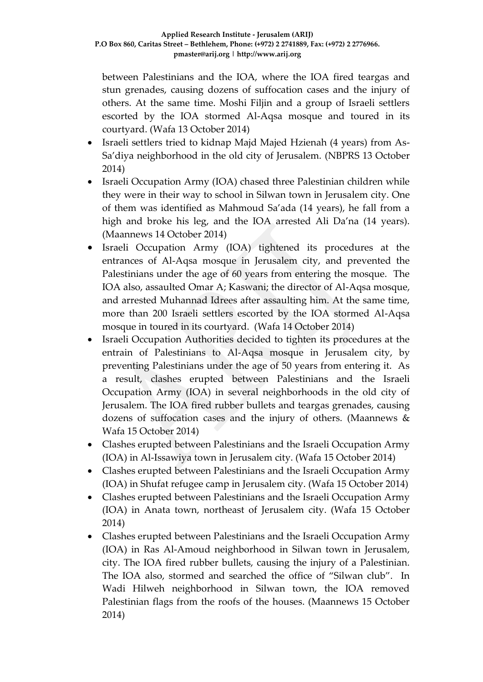between Palestinians and the IOA, where the IOA fired teargas and stun grenades, causing dozens of suffocation cases and the injury of others. At the same time. Moshi Filjin and a group of Israeli settlers escorted by the IOA stormed Al-Aqsa mosque and toured in its courtyard. (Wafa 13 October 2014)

- Israeli settlers tried to kidnap Majd Majed Hzienah (4 years) from As-Sa'diya neighborhood in the old city of Jerusalem. (NBPRS 13 October 2014)
- Israeli Occupation Army (IOA) chased three Palestinian children while they were in their way to school in Silwan town in Jerusalem city. One of them was identified as Mahmoud Sa'ada (14 years), he fall from a high and broke his leg, and the IOA arrested Ali Da'na (14 years). (Maannews 14 October 2014)
- Israeli Occupation Army (IOA) tightened its procedures at the entrances of Al-Aqsa mosque in Jerusalem city, and prevented the Palestinians under the age of 60 years from entering the mosque. The IOA also, assaulted Omar A; Kaswani; the director of Al-Aqsa mosque, and arrested Muhannad Idrees after assaulting him. At the same time, more than 200 Israeli settlers escorted by the IOA stormed Al-Aqsa mosque in toured in its courtyard. (Wafa 14 October 2014)
- Israeli Occupation Authorities decided to tighten its procedures at the entrain of Palestinians to Al-Aqsa mosque in Jerusalem city, by preventing Palestinians under the age of 50 years from entering it. As a result, clashes erupted between Palestinians and the Israeli Occupation Army (IOA) in several neighborhoods in the old city of Jerusalem. The IOA fired rubber bullets and teargas grenades, causing dozens of suffocation cases and the injury of others. (Maannews & Wafa 15 October 2014)
- Clashes erupted between Palestinians and the Israeli Occupation Army (IOA) in Al-Issawiya town in Jerusalem city. (Wafa 15 October 2014)
- Clashes erupted between Palestinians and the Israeli Occupation Army (IOA) in Shufat refugee camp in Jerusalem city. (Wafa 15 October 2014)
- Clashes erupted between Palestinians and the Israeli Occupation Army (IOA) in Anata town, northeast of Jerusalem city. (Wafa 15 October 2014)
- Clashes erupted between Palestinians and the Israeli Occupation Army (IOA) in Ras Al-Amoud neighborhood in Silwan town in Jerusalem, city. The IOA fired rubber bullets, causing the injury of a Palestinian. The IOA also, stormed and searched the office of "Silwan club". In Wadi Hilweh neighborhood in Silwan town, the IOA removed Palestinian flags from the roofs of the houses. (Maannews 15 October 2014)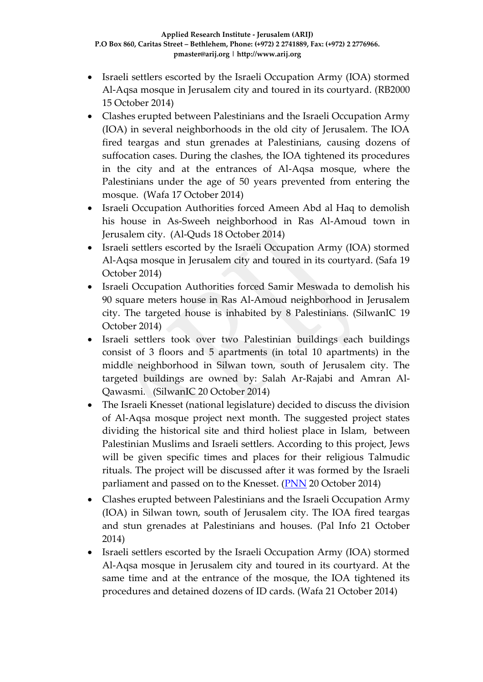- Israeli settlers escorted by the Israeli Occupation Army (IOA) stormed Al-Aqsa mosque in Jerusalem city and toured in its courtyard. (RB2000 15 October 2014)
- Clashes erupted between Palestinians and the Israeli Occupation Army (IOA) in several neighborhoods in the old city of Jerusalem. The IOA fired teargas and stun grenades at Palestinians, causing dozens of suffocation cases. During the clashes, the IOA tightened its procedures in the city and at the entrances of Al-Aqsa mosque, where the Palestinians under the age of 50 years prevented from entering the mosque. (Wafa 17 October 2014)
- Israeli Occupation Authorities forced Ameen Abd al Haq to demolish his house in As-Sweeh neighborhood in Ras Al-Amoud town in Jerusalem city. (Al-Quds 18 October 2014)
- Israeli settlers escorted by the Israeli Occupation Army (IOA) stormed Al-Aqsa mosque in Jerusalem city and toured in its courtyard. (Safa 19 October 2014)
- Israeli Occupation Authorities forced Samir Meswada to demolish his 90 square meters house in Ras Al-Amoud neighborhood in Jerusalem city. The targeted house is inhabited by 8 Palestinians. (SilwanIC 19 October 2014)
- Israeli settlers took over two Palestinian buildings each buildings consist of 3 floors and 5 apartments (in total 10 apartments) in the middle neighborhood in Silwan town, south of Jerusalem city. The targeted buildings are owned by: Salah Ar-Rajabi and Amran Al-Qawasmi. (SilwanIC 20 October 2014)
- The Israeli Knesset (national legislature) decided to discuss the division of Al-Aqsa mosque project next month. The suggested project states dividing the historical site and third holiest place in Islam, between Palestinian Muslims and Israeli settlers. According to this project, Jews will be given specific times and places for their religious Talmudic rituals. The project will be discussed after it was formed by the Israeli parliament and passed on to the Knesset. [\(PNN](http://english.pnn.ps/index.php/politics/8387-al-aqsa-mosque-division-project-to-be-discussed-in-the-kenesset-next-month) 20 October 2014)
- Clashes erupted between Palestinians and the Israeli Occupation Army (IOA) in Silwan town, south of Jerusalem city. The IOA fired teargas and stun grenades at Palestinians and houses. (Pal Info 21 October 2014)
- Israeli settlers escorted by the Israeli Occupation Army (IOA) stormed Al-Aqsa mosque in Jerusalem city and toured in its courtyard. At the same time and at the entrance of the mosque, the IOA tightened its procedures and detained dozens of ID cards. (Wafa 21 October 2014)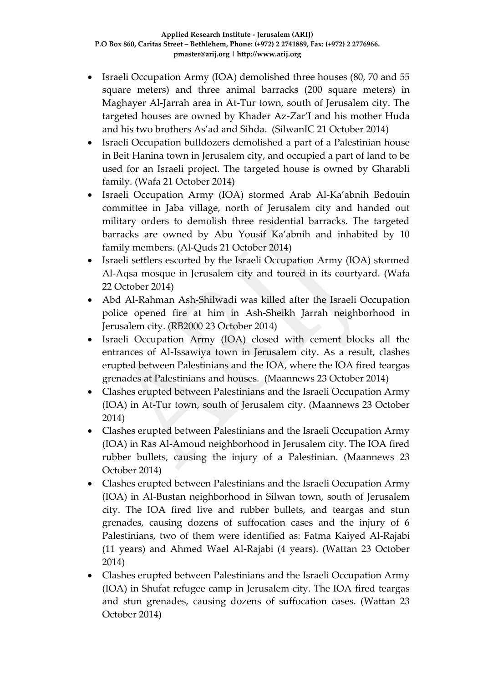- Israeli Occupation Army (IOA) demolished three houses (80, 70 and 55 square meters) and three animal barracks (200 square meters) in Maghayer Al-Jarrah area in At-Tur town, south of Jerusalem city. The targeted houses are owned by Khader Az-Zar'I and his mother Huda and his two brothers As'ad and Sihda. (SilwanIC 21 October 2014)
- Israeli Occupation bulldozers demolished a part of a Palestinian house in Beit Hanina town in Jerusalem city, and occupied a part of land to be used for an Israeli project. The targeted house is owned by Gharabli family. (Wafa 21 October 2014)
- Israeli Occupation Army (IOA) stormed Arab Al-Ka'abnih Bedouin committee in Jaba village, north of Jerusalem city and handed out military orders to demolish three residential barracks. The targeted barracks are owned by Abu Yousif Ka'abnih and inhabited by 10 family members. (Al-Quds 21 October 2014)
- Israeli settlers escorted by the Israeli Occupation Army (IOA) stormed Al-Aqsa mosque in Jerusalem city and toured in its courtyard. (Wafa 22 October 2014)
- Abd Al-Rahman Ash-Shilwadi was killed after the Israeli Occupation police opened fire at him in Ash-Sheikh Jarrah neighborhood in Jerusalem city. (RB2000 23 October 2014)
- Israeli Occupation Army (IOA) closed with cement blocks all the entrances of Al-Issawiya town in Jerusalem city. As a result, clashes erupted between Palestinians and the IOA, where the IOA fired teargas grenades at Palestinians and houses. (Maannews 23 October 2014)
- Clashes erupted between Palestinians and the Israeli Occupation Army (IOA) in At-Tur town, south of Jerusalem city. (Maannews 23 October 2014)
- Clashes erupted between Palestinians and the Israeli Occupation Army (IOA) in Ras Al-Amoud neighborhood in Jerusalem city. The IOA fired rubber bullets, causing the injury of a Palestinian. (Maannews 23 October 2014)
- Clashes erupted between Palestinians and the Israeli Occupation Army (IOA) in Al-Bustan neighborhood in Silwan town, south of Jerusalem city. The IOA fired live and rubber bullets, and teargas and stun grenades, causing dozens of suffocation cases and the injury of 6 Palestinians, two of them were identified as: Fatma Kaiyed Al-Rajabi (11 years) and Ahmed Wael Al-Rajabi (4 years). (Wattan 23 October 2014)
- Clashes erupted between Palestinians and the Israeli Occupation Army (IOA) in Shufat refugee camp in Jerusalem city. The IOA fired teargas and stun grenades, causing dozens of suffocation cases. (Wattan 23 October 2014)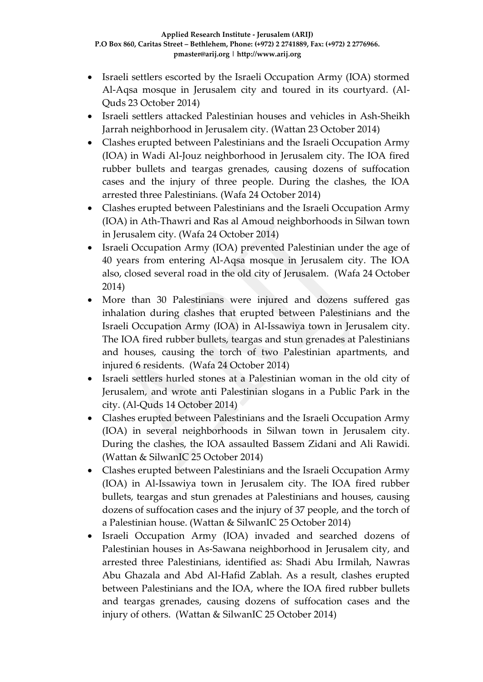- Israeli settlers escorted by the Israeli Occupation Army (IOA) stormed Al-Aqsa mosque in Jerusalem city and toured in its courtyard. (Al-Quds 23 October 2014)
- Israeli settlers attacked Palestinian houses and vehicles in Ash-Sheikh Jarrah neighborhood in Jerusalem city. (Wattan 23 October 2014)
- Clashes erupted between Palestinians and the Israeli Occupation Army (IOA) in Wadi Al-Jouz neighborhood in Jerusalem city. The IOA fired rubber bullets and teargas grenades, causing dozens of suffocation cases and the injury of three people. During the clashes, the IOA arrested three Palestinians. (Wafa 24 October 2014)
- Clashes erupted between Palestinians and the Israeli Occupation Army (IOA) in Ath-Thawri and Ras al Amoud neighborhoods in Silwan town in Jerusalem city. (Wafa 24 October 2014)
- Israeli Occupation Army (IOA) prevented Palestinian under the age of 40 years from entering Al-Aqsa mosque in Jerusalem city. The IOA also, closed several road in the old city of Jerusalem. (Wafa 24 October 2014)
- More than 30 Palestinians were injured and dozens suffered gas inhalation during clashes that erupted between Palestinians and the Israeli Occupation Army (IOA) in Al-Issawiya town in Jerusalem city. The IOA fired rubber bullets, teargas and stun grenades at Palestinians and houses, causing the torch of two Palestinian apartments, and injured 6 residents. (Wafa 24 October 2014)
- Israeli settlers hurled stones at a Palestinian woman in the old city of Jerusalem, and wrote anti Palestinian slogans in a Public Park in the city. (Al-Quds 14 October 2014)
- Clashes erupted between Palestinians and the Israeli Occupation Army (IOA) in several neighborhoods in Silwan town in Jerusalem city. During the clashes, the IOA assaulted Bassem Zidani and Ali Rawidi. (Wattan & SilwanIC 25 October 2014)
- Clashes erupted between Palestinians and the Israeli Occupation Army (IOA) in Al-Issawiya town in Jerusalem city. The IOA fired rubber bullets, teargas and stun grenades at Palestinians and houses, causing dozens of suffocation cases and the injury of 37 people, and the torch of a Palestinian house. (Wattan & SilwanIC 25 October 2014)
- Israeli Occupation Army (IOA) invaded and searched dozens of Palestinian houses in As-Sawana neighborhood in Jerusalem city, and arrested three Palestinians, identified as: Shadi Abu Irmilah, Nawras Abu Ghazala and Abd Al-Hafid Zablah. As a result, clashes erupted between Palestinians and the IOA, where the IOA fired rubber bullets and teargas grenades, causing dozens of suffocation cases and the injury of others. (Wattan & SilwanIC 25 October 2014)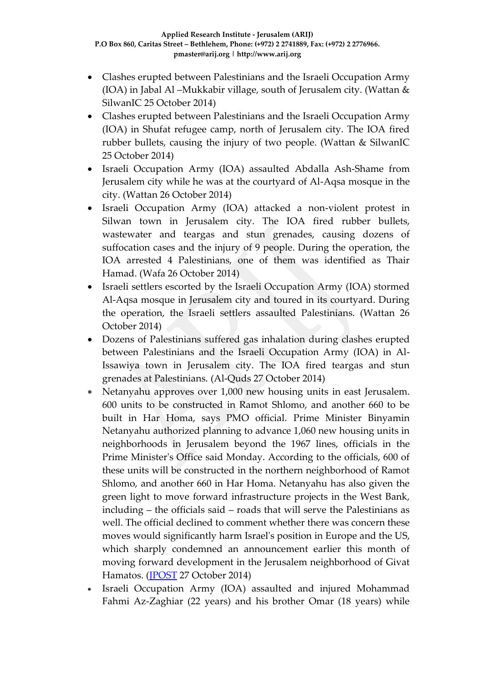- Clashes erupted between Palestinians and the Israeli Occupation Army (IOA) in Jabal Al –Mukkabir village, south of Jerusalem city. (Wattan & SilwanIC 25 October 2014)
- Clashes erupted between Palestinians and the Israeli Occupation Army (IOA) in Shufat refugee camp, north of Jerusalem city. The IOA fired rubber bullets, causing the injury of two people. (Wattan & SilwanIC 25 October 2014)
- Israeli Occupation Army (IOA) assaulted Abdalla Ash-Shame from Jerusalem city while he was at the courtyard of Al-Aqsa mosque in the city. (Wattan 26 October 2014)
- Israeli Occupation Army (IOA) attacked a non-violent protest in Silwan town in Jerusalem city. The IOA fired rubber bullets, wastewater and teargas and stun grenades, causing dozens of suffocation cases and the injury of 9 people. During the operation, the IOA arrested 4 Palestinians, one of them was identified as Thair Hamad. (Wafa 26 October 2014)
- Israeli settlers escorted by the Israeli Occupation Army (IOA) stormed Al-Aqsa mosque in Jerusalem city and toured in its courtyard. During the operation, the Israeli settlers assaulted Palestinians. (Wattan 26 October 2014)
- Dozens of Palestinians suffered gas inhalation during clashes erupted between Palestinians and the Israeli Occupation Army (IOA) in Al-Issawiya town in Jerusalem city. The IOA fired teargas and stun grenades at Palestinians. (Al-Quds 27 October 2014)
- Netanyahu approves over 1,000 new housing units in east Jerusalem. 600 units to be constructed in Ramot Shlomo, and another 660 to be built in Har Homa, says PMO official. Prime Minister Binyamin Netanyahu authorized planning to advance 1,060 new housing units in neighborhoods in Jerusalem beyond the 1967 lines, officials in the Prime Minister's Office said Monday. According to the officials, 600 of these units will be constructed in the northern neighborhood of Ramot Shlomo, and another 660 in Har Homa. Netanyahu has also given the green light to move forward infrastructure projects in the West Bank, including – the officials said – roads that will serve the Palestinians as well. The official declined to comment whether there was concern these moves would significantly harm Israel's position in Europe and the US, which sharply condemned an announcement earlier this month of moving forward development in the Jerusalem neighborhood of Givat Hamatos. [\(JPOST](http://www.jpost.com/Israel-News/Netanyahu-approves-over-1000-new-housing-units-in-east-Jerusalem-379927) 27 October 2014)
- Israeli Occupation Army (IOA) assaulted and injured Mohammad Fahmi Az-Zaghiar (22 years) and his brother Omar (18 years) while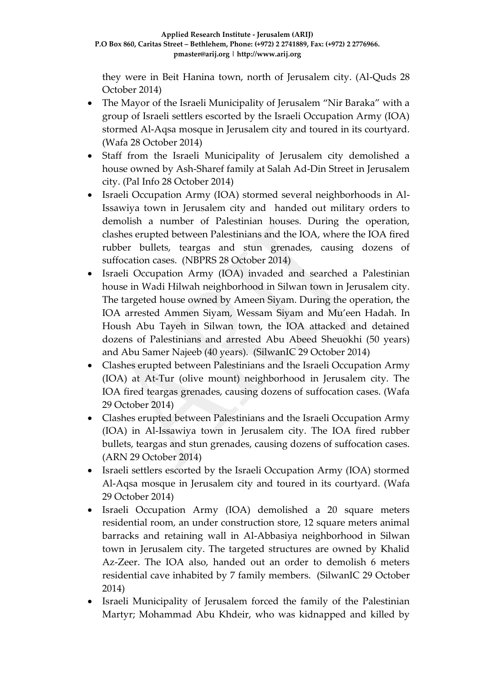they were in Beit Hanina town, north of Jerusalem city. (Al-Quds 28 October 2014)

- The Mayor of the Israeli Municipality of Jerusalem "Nir Baraka" with a group of Israeli settlers escorted by the Israeli Occupation Army (IOA) stormed Al-Aqsa mosque in Jerusalem city and toured in its courtyard. (Wafa 28 October 2014)
- Staff from the Israeli Municipality of Jerusalem city demolished a house owned by Ash-Sharef family at Salah Ad-Din Street in Jerusalem city. (Pal Info 28 October 2014)
- Israeli Occupation Army (IOA) stormed several neighborhoods in Al-Issawiya town in Jerusalem city and handed out military orders to demolish a number of Palestinian houses. During the operation, clashes erupted between Palestinians and the IOA, where the IOA fired rubber bullets, teargas and stun grenades, causing dozens of suffocation cases. (NBPRS 28 October 2014)
- Israeli Occupation Army (IOA) invaded and searched a Palestinian house in Wadi Hilwah neighborhood in Silwan town in Jerusalem city. The targeted house owned by Ameen Siyam. During the operation, the IOA arrested Ammen Siyam, Wessam Siyam and Mu'een Hadah. In Housh Abu Tayeh in Silwan town, the IOA attacked and detained dozens of Palestinians and arrested Abu Abeed Sheuokhi (50 years) and Abu Samer Najeeb (40 years). (SilwanIC 29 October 2014)
- Clashes erupted between Palestinians and the Israeli Occupation Army (IOA) at At-Tur (olive mount) neighborhood in Jerusalem city. The IOA fired teargas grenades, causing dozens of suffocation cases. (Wafa 29 October 2014)
- Clashes erupted between Palestinians and the Israeli Occupation Army (IOA) in Al-Issawiya town in Jerusalem city. The IOA fired rubber bullets, teargas and stun grenades, causing dozens of suffocation cases. (ARN 29 October 2014)
- Israeli settlers escorted by the Israeli Occupation Army (IOA) stormed Al-Aqsa mosque in Jerusalem city and toured in its courtyard. (Wafa 29 October 2014)
- Israeli Occupation Army (IOA) demolished a 20 square meters residential room, an under construction store, 12 square meters animal barracks and retaining wall in Al-Abbasiya neighborhood in Silwan town in Jerusalem city. The targeted structures are owned by Khalid Az-Zeer. The IOA also, handed out an order to demolish 6 meters residential cave inhabited by 7 family members. (SilwanIC 29 October 2014)
- Israeli Municipality of Jerusalem forced the family of the Palestinian Martyr; Mohammad Abu Khdeir, who was kidnapped and killed by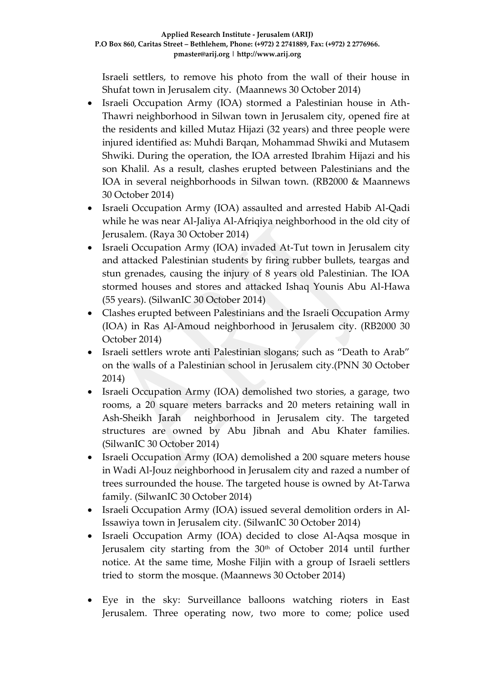Israeli settlers, to remove his photo from the wall of their house in Shufat town in Jerusalem city. (Maannews 30 October 2014)

- Israeli Occupation Army (IOA) stormed a Palestinian house in Ath-Thawri neighborhood in Silwan town in Jerusalem city, opened fire at the residents and killed Mutaz Hijazi (32 years) and three people were injured identified as: Muhdi Barqan, Mohammad Shwiki and Mutasem Shwiki. During the operation, the IOA arrested Ibrahim Hijazi and his son Khalil. As a result, clashes erupted between Palestinians and the IOA in several neighborhoods in Silwan town. (RB2000 & Maannews 30 October 2014)
- Israeli Occupation Army (IOA) assaulted and arrested Habib Al-Qadi while he was near Al-Jaliya Al-Afriqiya neighborhood in the old city of Jerusalem. (Raya 30 October 2014)
- Israeli Occupation Army (IOA) invaded At-Tut town in Jerusalem city and attacked Palestinian students by firing rubber bullets, teargas and stun grenades, causing the injury of 8 years old Palestinian. The IOA stormed houses and stores and attacked Ishaq Younis Abu Al-Hawa (55 years). (SilwanIC 30 October 2014)
- Clashes erupted between Palestinians and the Israeli Occupation Army (IOA) in Ras Al-Amoud neighborhood in Jerusalem city. (RB2000 30 October 2014)
- Israeli settlers wrote anti Palestinian slogans; such as "Death to Arab" on the walls of a Palestinian school in Jerusalem city.(PNN 30 October 2014)
- Israeli Occupation Army (IOA) demolished two stories, a garage, two rooms, a 20 square meters barracks and 20 meters retaining wall in Ash-Sheikh Jarah neighborhood in Jerusalem city. The targeted structures are owned by Abu Jibnah and Abu Khater families. (SilwanIC 30 October 2014)
- Israeli Occupation Army (IOA) demolished a 200 square meters house in Wadi Al-Jouz neighborhood in Jerusalem city and razed a number of trees surrounded the house. The targeted house is owned by At-Tarwa family. (SilwanIC 30 October 2014)
- Israeli Occupation Army (IOA) issued several demolition orders in Al-Issawiya town in Jerusalem city. (SilwanIC 30 October 2014)
- Israeli Occupation Army (IOA) decided to close Al-Aqsa mosque in Jerusalem city starting from the 30<sup>th</sup> of October 2014 until further notice. At the same time, Moshe Filjin with a group of Israeli settlers tried to storm the mosque. (Maannews 30 October 2014)
- Eye in the sky: Surveillance balloons watching rioters in East Jerusalem. Three operating now, two more to come; police used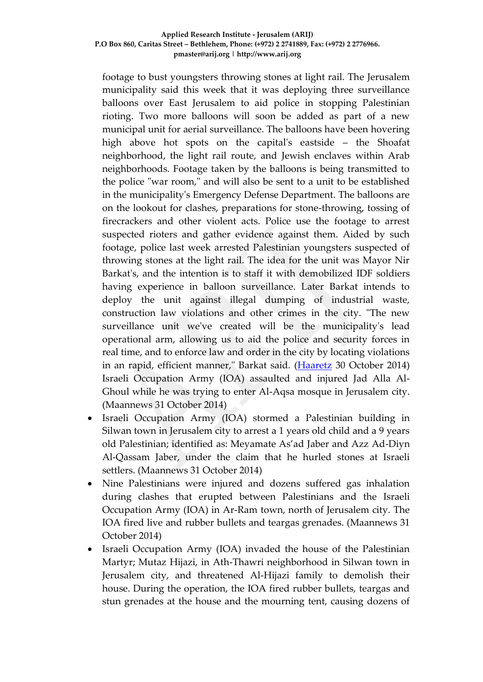footage to bust youngsters throwing stones at light rail. The Jerusalem municipality said this week that it was deploying three surveillance balloons over East Jerusalem to aid police in stopping Palestinian rioting. Two more balloons will soon be added as part of a new municipal unit for aerial surveillance. The balloons have been hovering high above hot spots on the capital's eastside – the Shoafat neighborhood, the light rail route, and Jewish enclaves within Arab neighborhoods. Footage taken by the balloons is being transmitted to the police "war room," and will also be sent to a unit to be established in the municipality's Emergency Defense Department. The balloons are on the lookout for clashes, preparations for stone-throwing, tossing of firecrackers and other violent acts. Police use the footage to arrest suspected rioters and gather evidence against them. Aided by such footage, police last week arrested Palestinian youngsters suspected of throwing stones at the light rail. The idea for the unit was Mayor Nir Barkat's, and the intention is to staff it with demobilized IDF soldiers having experience in balloon surveillance. Later Barkat intends to deploy the unit against illegal dumping of industrial waste, construction law violations and other crimes in the city. "The new surveillance unit we've created will be the municipality's lead operational arm, allowing us to aid the police and security forces in real time, and to enforce law and order in the city by locating violations in an rapid, efficient manner," Barkat said. [\(Haaretz](http://www.haaretz.com/news/diplomacy-defense/1.623366) 30 October 2014) Israeli Occupation Army (IOA) assaulted and injured Jad Alla Al-Ghoul while he was trying to enter Al-Aqsa mosque in Jerusalem city. (Maannews 31 October 2014)

- Israeli Occupation Army (IOA) stormed a Palestinian building in Silwan town in Jerusalem city to arrest a 1 years old child and a 9 years old Palestinian; identified as: Meyamate As'ad Jaber and Azz Ad-Diyn Al-Qassam Jaber, under the claim that he hurled stones at Israeli settlers. (Maannews 31 October 2014)
- Nine Palestinians were injured and dozens suffered gas inhalation during clashes that erupted between Palestinians and the Israeli Occupation Army (IOA) in Ar-Ram town, north of Jerusalem city. The IOA fired live and rubber bullets and teargas grenades. (Maannews 31 October 2014)
- Israeli Occupation Army (IOA) invaded the house of the Palestinian Martyr; Mutaz Hijazi, in Ath-Thawri neighborhood in Silwan town in Jerusalem city, and threatened Al-Hijazi family to demolish their house. During the operation, the IOA fired rubber bullets, teargas and stun grenades at the house and the mourning tent, causing dozens of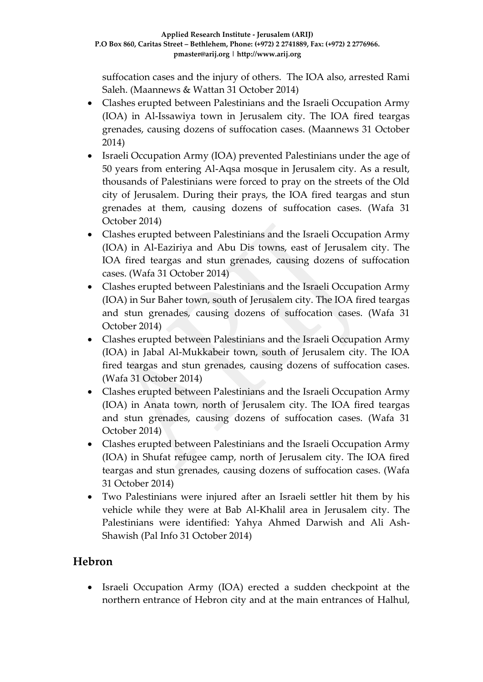suffocation cases and the injury of others. The IOA also, arrested Rami Saleh. (Maannews & Wattan 31 October 2014)

- Clashes erupted between Palestinians and the Israeli Occupation Army (IOA) in Al-Issawiya town in Jerusalem city. The IOA fired teargas grenades, causing dozens of suffocation cases. (Maannews 31 October 2014)
- Israeli Occupation Army (IOA) prevented Palestinians under the age of 50 years from entering Al-Aqsa mosque in Jerusalem city. As a result, thousands of Palestinians were forced to pray on the streets of the Old city of Jerusalem. During their prays, the IOA fired teargas and stun grenades at them, causing dozens of suffocation cases. (Wafa 31 October 2014)
- Clashes erupted between Palestinians and the Israeli Occupation Army (IOA) in Al-Eaziriya and Abu Dis towns, east of Jerusalem city. The IOA fired teargas and stun grenades, causing dozens of suffocation cases. (Wafa 31 October 2014)
- Clashes erupted between Palestinians and the Israeli Occupation Army (IOA) in Sur Baher town, south of Jerusalem city. The IOA fired teargas and stun grenades, causing dozens of suffocation cases. (Wafa 31 October 2014)
- Clashes erupted between Palestinians and the Israeli Occupation Army (IOA) in Jabal Al-Mukkabeir town, south of Jerusalem city. The IOA fired teargas and stun grenades, causing dozens of suffocation cases. (Wafa 31 October 2014)
- Clashes erupted between Palestinians and the Israeli Occupation Army (IOA) in Anata town, north of Jerusalem city. The IOA fired teargas and stun grenades, causing dozens of suffocation cases. (Wafa 31 October 2014)
- Clashes erupted between Palestinians and the Israeli Occupation Army (IOA) in Shufat refugee camp, north of Jerusalem city. The IOA fired teargas and stun grenades, causing dozens of suffocation cases. (Wafa 31 October 2014)
- Two Palestinians were injured after an Israeli settler hit them by his vehicle while they were at Bab Al-Khalil area in Jerusalem city. The Palestinians were identified: Yahya Ahmed Darwish and Ali Ash-Shawish (Pal Info 31 October 2014)

# **Hebron**

 Israeli Occupation Army (IOA) erected a sudden checkpoint at the northern entrance of Hebron city and at the main entrances of Halhul,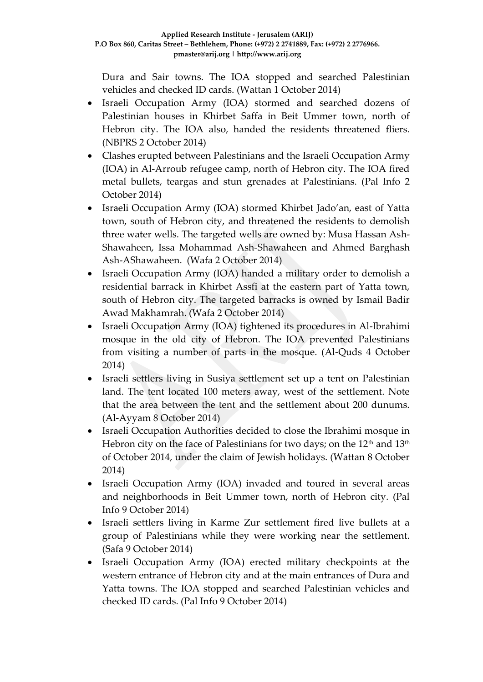Dura and Sair towns. The IOA stopped and searched Palestinian vehicles and checked ID cards. (Wattan 1 October 2014)

- Israeli Occupation Army (IOA) stormed and searched dozens of Palestinian houses in Khirbet Saffa in Beit Ummer town, north of Hebron city. The IOA also, handed the residents threatened fliers. (NBPRS 2 October 2014)
- Clashes erupted between Palestinians and the Israeli Occupation Army (IOA) in Al-Arroub refugee camp, north of Hebron city. The IOA fired metal bullets, teargas and stun grenades at Palestinians. (Pal Info 2 October 2014)
- Israeli Occupation Army (IOA) stormed Khirbet Jado'an, east of Yatta town, south of Hebron city, and threatened the residents to demolish three water wells. The targeted wells are owned by: Musa Hassan Ash-Shawaheen, Issa Mohammad Ash-Shawaheen and Ahmed Barghash Ash-AShawaheen. (Wafa 2 October 2014)
- Israeli Occupation Army (IOA) handed a military order to demolish a residential barrack in Khirbet Assfi at the eastern part of Yatta town, south of Hebron city. The targeted barracks is owned by Ismail Badir Awad Makhamrah. (Wafa 2 October 2014)
- Israeli Occupation Army (IOA) tightened its procedures in Al-Ibrahimi mosque in the old city of Hebron. The IOA prevented Palestinians from visiting a number of parts in the mosque. (Al-Quds 4 October 2014)
- Israeli settlers living in Susiya settlement set up a tent on Palestinian land. The tent located 100 meters away, west of the settlement. Note that the area between the tent and the settlement about 200 dunums. (Al-Ayyam 8 October 2014)
- Israeli Occupation Authorities decided to close the Ibrahimi mosque in Hebron city on the face of Palestinians for two days; on the 12<sup>th</sup> and 13<sup>th</sup> of October 2014, under the claim of Jewish holidays. (Wattan 8 October 2014)
- Israeli Occupation Army (IOA) invaded and toured in several areas and neighborhoods in Beit Ummer town, north of Hebron city. (Pal Info 9 October 2014)
- Israeli settlers living in Karme Zur settlement fired live bullets at a group of Palestinians while they were working near the settlement. (Safa 9 October 2014)
- Israeli Occupation Army (IOA) erected military checkpoints at the western entrance of Hebron city and at the main entrances of Dura and Yatta towns. The IOA stopped and searched Palestinian vehicles and checked ID cards. (Pal Info 9 October 2014)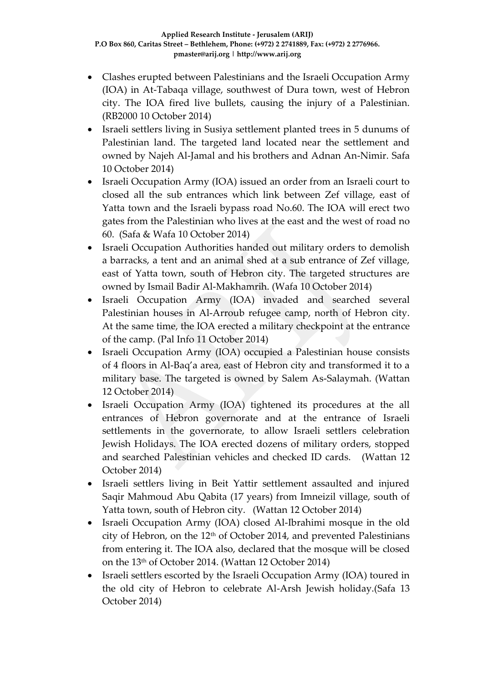- Clashes erupted between Palestinians and the Israeli Occupation Army (IOA) in At-Tabaqa village, southwest of Dura town, west of Hebron city. The IOA fired live bullets, causing the injury of a Palestinian. (RB2000 10 October 2014)
- Israeli settlers living in Susiya settlement planted trees in 5 dunums of Palestinian land. The targeted land located near the settlement and owned by Najeh Al-Jamal and his brothers and Adnan An-Nimir. Safa 10 October 2014)
- Israeli Occupation Army (IOA) issued an order from an Israeli court to closed all the sub entrances which link between Zef village, east of Yatta town and the Israeli bypass road No.60. The IOA will erect two gates from the Palestinian who lives at the east and the west of road no 60. (Safa & Wafa 10 October 2014)
- Israeli Occupation Authorities handed out military orders to demolish a barracks, a tent and an animal shed at a sub entrance of Zef village, east of Yatta town, south of Hebron city. The targeted structures are owned by Ismail Badir Al-Makhamrih. (Wafa 10 October 2014)
- Israeli Occupation Army (IOA) invaded and searched several Palestinian houses in Al-Arroub refugee camp, north of Hebron city. At the same time, the IOA erected a military checkpoint at the entrance of the camp. (Pal Info 11 October 2014)
- Israeli Occupation Army (IOA) occupied a Palestinian house consists of 4 floors in Al-Baq'a area, east of Hebron city and transformed it to a military base. The targeted is owned by Salem As-Salaymah. (Wattan 12 October 2014)
- Israeli Occupation Army (IOA) tightened its procedures at the all entrances of Hebron governorate and at the entrance of Israeli settlements in the governorate, to allow Israeli settlers celebration Jewish Holidays. The IOA erected dozens of military orders, stopped and searched Palestinian vehicles and checked ID cards. (Wattan 12 October 2014)
- Israeli settlers living in Beit Yattir settlement assaulted and injured Saqir Mahmoud Abu Qabita (17 years) from Imneizil village, south of Yatta town, south of Hebron city. (Wattan 12 October 2014)
- Israeli Occupation Army (IOA) closed Al-Ibrahimi mosque in the old city of Hebron, on the 12th of October 2014, and prevented Palestinians from entering it. The IOA also, declared that the mosque will be closed on the 13th of October 2014. (Wattan 12 October 2014)
- Israeli settlers escorted by the Israeli Occupation Army (IOA) toured in the old city of Hebron to celebrate Al-Arsh Jewish holiday.(Safa 13 October 2014)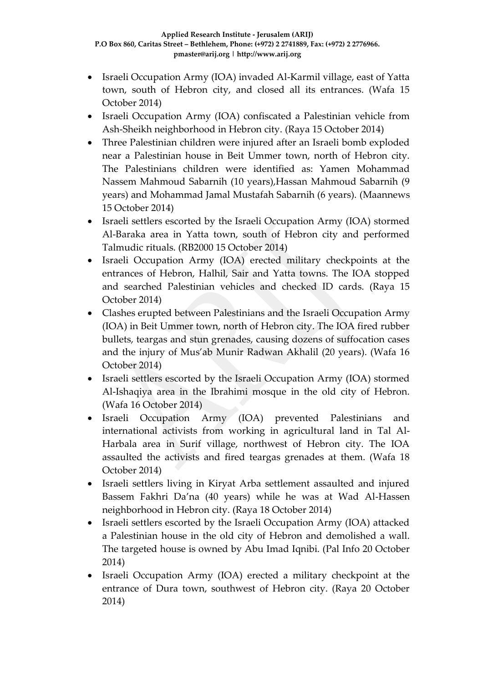- Israeli Occupation Army (IOA) invaded Al-Karmil village, east of Yatta town, south of Hebron city, and closed all its entrances. (Wafa 15 October 2014)
- Israeli Occupation Army (IOA) confiscated a Palestinian vehicle from Ash-Sheikh neighborhood in Hebron city. (Raya 15 October 2014)
- Three Palestinian children were injured after an Israeli bomb exploded near a Palestinian house in Beit Ummer town, north of Hebron city. The Palestinians children were identified as: Yamen Mohammad Nassem Mahmoud Sabarnih (10 years),Hassan Mahmoud Sabarnih (9 years) and Mohammad Jamal Mustafah Sabarnih (6 years). (Maannews 15 October 2014)
- Israeli settlers escorted by the Israeli Occupation Army (IOA) stormed Al-Baraka area in Yatta town, south of Hebron city and performed Talmudic rituals. (RB2000 15 October 2014)
- Israeli Occupation Army (IOA) erected military checkpoints at the entrances of Hebron, Halhil, Sair and Yatta towns. The IOA stopped and searched Palestinian vehicles and checked ID cards. (Raya 15 October 2014)
- Clashes erupted between Palestinians and the Israeli Occupation Army (IOA) in Beit Ummer town, north of Hebron city. The IOA fired rubber bullets, teargas and stun grenades, causing dozens of suffocation cases and the injury of Mus'ab Munir Radwan Akhalil (20 years). (Wafa 16 October 2014)
- Israeli settlers escorted by the Israeli Occupation Army (IOA) stormed Al-Ishaqiya area in the Ibrahimi mosque in the old city of Hebron. (Wafa 16 October 2014)
- Israeli Occupation Army (IOA) prevented Palestinians and international activists from working in agricultural land in Tal Al-Harbala area in Surif village, northwest of Hebron city. The IOA assaulted the activists and fired teargas grenades at them. (Wafa 18 October 2014)
- Israeli settlers living in Kiryat Arba settlement assaulted and injured Bassem Fakhri Da'na (40 years) while he was at Wad Al-Hassen neighborhood in Hebron city. (Raya 18 October 2014)
- Israeli settlers escorted by the Israeli Occupation Army (IOA) attacked a Palestinian house in the old city of Hebron and demolished a wall. The targeted house is owned by Abu Imad Iqnibi. (Pal Info 20 October 2014)
- Israeli Occupation Army (IOA) erected a military checkpoint at the entrance of Dura town, southwest of Hebron city. (Raya 20 October 2014)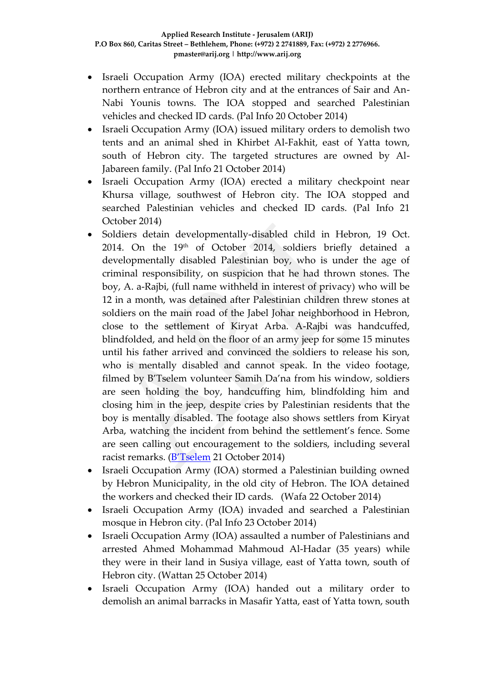- Israeli Occupation Army (IOA) erected military checkpoints at the northern entrance of Hebron city and at the entrances of Sair and An-Nabi Younis towns. The IOA stopped and searched Palestinian vehicles and checked ID cards. (Pal Info 20 October 2014)
- Israeli Occupation Army (IOA) issued military orders to demolish two tents and an animal shed in Khirbet Al-Fakhit, east of Yatta town, south of Hebron city. The targeted structures are owned by Al-Jabareen family. (Pal Info 21 October 2014)
- Israeli Occupation Army (IOA) erected a military checkpoint near Khursa village, southwest of Hebron city. The IOA stopped and searched Palestinian vehicles and checked ID cards. (Pal Info 21 October 2014)
- Soldiers detain developmentally-disabled child in Hebron, 19 Oct. 2014. On the 19th of October 2014, soldiers briefly detained a developmentally disabled Palestinian boy, who is under the age of criminal responsibility, on suspicion that he had thrown stones. The boy, A. a-Rajbi, (full name withheld in interest of privacy) who will be 12 in a month, was detained after Palestinian children threw stones at soldiers on the main road of the Jabel Johar neighborhood in Hebron, close to the settlement of Kiryat Arba. A-Rajbi was handcuffed, blindfolded, and held on the floor of an army jeep for some 15 minutes until his father arrived and convinced the soldiers to release his son, who is mentally disabled and cannot speak. In the video footage, filmed by B'Tselem volunteer Samih Da'na from his window, soldiers are seen holding the boy, handcuffing him, blindfolding him and closing him in the jeep, despite cries by Palestinian residents that the boy is mentally disabled. The footage also shows settlers from Kiryat Arba, watching the incident from behind the settlement's fence. Some are seen calling out encouragement to the soldiers, including several racist remarks. ([B'Tselem](http://www.btselem.org/press_releases/20141020_soldiers_detain_developmentally_disabled_child_in_hebron) 21 October 2014)
- Israeli Occupation Army (IOA) stormed a Palestinian building owned by Hebron Municipality, in the old city of Hebron. The IOA detained the workers and checked their ID cards. (Wafa 22 October 2014)
- Israeli Occupation Army (IOA) invaded and searched a Palestinian mosque in Hebron city. (Pal Info 23 October 2014)
- Israeli Occupation Army (IOA) assaulted a number of Palestinians and arrested Ahmed Mohammad Mahmoud Al-Hadar (35 years) while they were in their land in Susiya village, east of Yatta town, south of Hebron city. (Wattan 25 October 2014)
- Israeli Occupation Army (IOA) handed out a military order to demolish an animal barracks in Masafir Yatta, east of Yatta town, south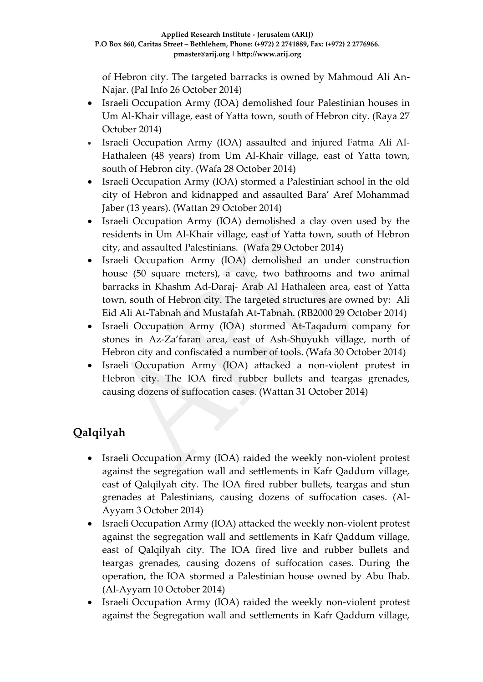of Hebron city. The targeted barracks is owned by Mahmoud Ali An-Najar. (Pal Info 26 October 2014)

- Israeli Occupation Army (IOA) demolished four Palestinian houses in Um Al-Khair village, east of Yatta town, south of Hebron city. (Raya 27 October 2014)
- Israeli Occupation Army (IOA) assaulted and injured Fatma Ali Al-Hathaleen (48 years) from Um Al-Khair village, east of Yatta town, south of Hebron city. (Wafa 28 October 2014)
- Israeli Occupation Army (IOA) stormed a Palestinian school in the old city of Hebron and kidnapped and assaulted Bara' Aref Mohammad Jaber (13 years). (Wattan 29 October 2014)
- Israeli Occupation Army (IOA) demolished a clay oven used by the residents in Um Al-Khair village, east of Yatta town, south of Hebron city, and assaulted Palestinians. (Wafa 29 October 2014)
- Israeli Occupation Army (IOA) demolished an under construction house (50 square meters), a cave, two bathrooms and two animal barracks in Khashm Ad-Daraj- Arab Al Hathaleen area, east of Yatta town, south of Hebron city. The targeted structures are owned by: Ali Eid Ali At-Tabnah and Mustafah At-Tabnah. (RB2000 29 October 2014)
- Israeli Occupation Army (IOA) stormed At-Taqadum company for stones in Az-Za'faran area, east of Ash-Shuyukh village, north of Hebron city and confiscated a number of tools. (Wafa 30 October 2014)
- Israeli Occupation Army (IOA) attacked a non-violent protest in Hebron city. The IOA fired rubber bullets and teargas grenades, causing dozens of suffocation cases. (Wattan 31 October 2014)

# **Qalqilyah**

- Israeli Occupation Army (IOA) raided the weekly non-violent protest against the segregation wall and settlements in Kafr Qaddum village, east of Qalqilyah city. The IOA fired rubber bullets, teargas and stun grenades at Palestinians, causing dozens of suffocation cases. (Al-Ayyam 3 October 2014)
- Israeli Occupation Army (IOA) attacked the weekly non-violent protest against the segregation wall and settlements in Kafr Qaddum village, east of Qalqilyah city. The IOA fired live and rubber bullets and teargas grenades, causing dozens of suffocation cases. During the operation, the IOA stormed a Palestinian house owned by Abu Ihab. (Al-Ayyam 10 October 2014)
- Israeli Occupation Army (IOA) raided the weekly non-violent protest against the Segregation wall and settlements in Kafr Qaddum village,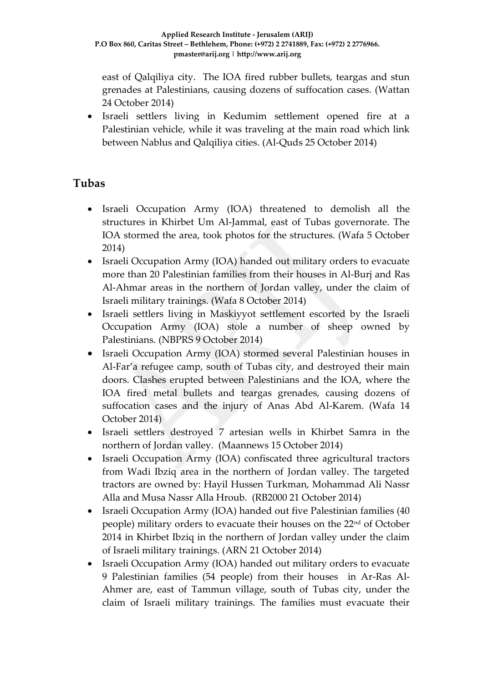east of Qalqiliya city. The IOA fired rubber bullets, teargas and stun grenades at Palestinians, causing dozens of suffocation cases. (Wattan 24 October 2014)

 Israeli settlers living in Kedumim settlement opened fire at a Palestinian vehicle, while it was traveling at the main road which link between Nablus and Qalqiliya cities. (Al-Quds 25 October 2014)

### **Tubas**

- Israeli Occupation Army (IOA) threatened to demolish all the structures in Khirbet Um Al-Jammal, east of Tubas governorate. The IOA stormed the area, took photos for the structures. (Wafa 5 October 2014)
- Israeli Occupation Army (IOA) handed out military orders to evacuate more than 20 Palestinian families from their houses in Al-Burj and Ras Al-Ahmar areas in the northern of Jordan valley, under the claim of Israeli military trainings. (Wafa 8 October 2014)
- Israeli settlers living in Maskiyyot settlement escorted by the Israeli Occupation Army (IOA) stole a number of sheep owned by Palestinians. (NBPRS 9 October 2014)
- Israeli Occupation Army (IOA) stormed several Palestinian houses in Al-Far'a refugee camp, south of Tubas city, and destroyed their main doors. Clashes erupted between Palestinians and the IOA, where the IOA fired metal bullets and teargas grenades, causing dozens of suffocation cases and the injury of Anas Abd Al-Karem. (Wafa 14 October 2014)
- Israeli settlers destroyed 7 artesian wells in Khirbet Samra in the northern of Jordan valley. (Maannews 15 October 2014)
- Israeli Occupation Army (IOA) confiscated three agricultural tractors from Wadi Ibziq area in the northern of Jordan valley. The targeted tractors are owned by: Hayil Hussen Turkman, Mohammad Ali Nassr Alla and Musa Nassr Alla Hroub. (RB2000 21 October 2014)
- Israeli Occupation Army (IOA) handed out five Palestinian families (40 people) military orders to evacuate their houses on the 22nd of October 2014 in Khirbet Ibziq in the northern of Jordan valley under the claim of Israeli military trainings. (ARN 21 October 2014)
- Israeli Occupation Army (IOA) handed out military orders to evacuate 9 Palestinian families (54 people) from their houses in Ar-Ras Al-Ahmer are, east of Tammun village, south of Tubas city, under the claim of Israeli military trainings. The families must evacuate their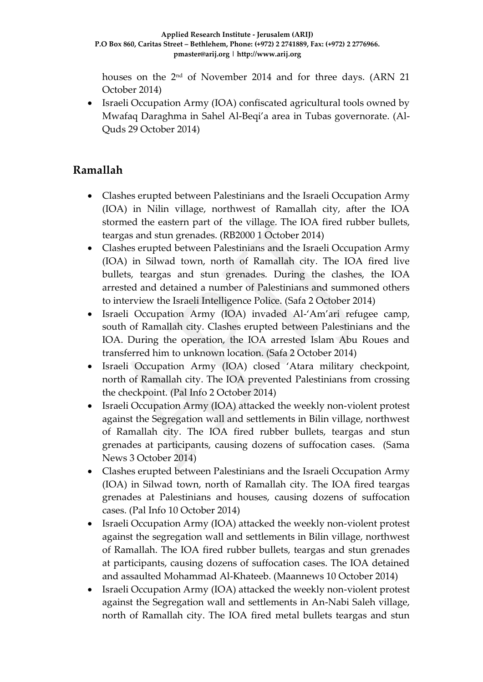houses on the 2nd of November 2014 and for three days. (ARN 21 October 2014)

• Israeli Occupation Army (IOA) confiscated agricultural tools owned by Mwafaq Daraghma in Sahel Al-Beqi'a area in Tubas governorate. (Al-Quds 29 October 2014)

# **Ramallah**

- Clashes erupted between Palestinians and the Israeli Occupation Army (IOA) in Nilin village, northwest of Ramallah city, after the IOA stormed the eastern part of the village. The IOA fired rubber bullets, teargas and stun grenades. (RB2000 1 October 2014)
- Clashes erupted between Palestinians and the Israeli Occupation Army (IOA) in Silwad town, north of Ramallah city. The IOA fired live bullets, teargas and stun grenades. During the clashes, the IOA arrested and detained a number of Palestinians and summoned others to interview the Israeli Intelligence Police. (Safa 2 October 2014)
- Israeli Occupation Army (IOA) invaded Al-'Am'ari refugee camp, south of Ramallah city. Clashes erupted between Palestinians and the IOA. During the operation, the IOA arrested Islam Abu Roues and transferred him to unknown location. (Safa 2 October 2014)
- Israeli Occupation Army (IOA) closed 'Atara military checkpoint, north of Ramallah city. The IOA prevented Palestinians from crossing the checkpoint. (Pal Info 2 October 2014)
- Israeli Occupation Army (IOA) attacked the weekly non-violent protest against the Segregation wall and settlements in Bilin village, northwest of Ramallah city. The IOA fired rubber bullets, teargas and stun grenades at participants, causing dozens of suffocation cases. (Sama News 3 October 2014)
- Clashes erupted between Palestinians and the Israeli Occupation Army (IOA) in Silwad town, north of Ramallah city. The IOA fired teargas grenades at Palestinians and houses, causing dozens of suffocation cases. (Pal Info 10 October 2014)
- Israeli Occupation Army (IOA) attacked the weekly non-violent protest against the segregation wall and settlements in Bilin village, northwest of Ramallah. The IOA fired rubber bullets, teargas and stun grenades at participants, causing dozens of suffocation cases. The IOA detained and assaulted Mohammad Al-Khateeb. (Maannews 10 October 2014)
- Israeli Occupation Army (IOA) attacked the weekly non-violent protest against the Segregation wall and settlements in An-Nabi Saleh village, north of Ramallah city. The IOA fired metal bullets teargas and stun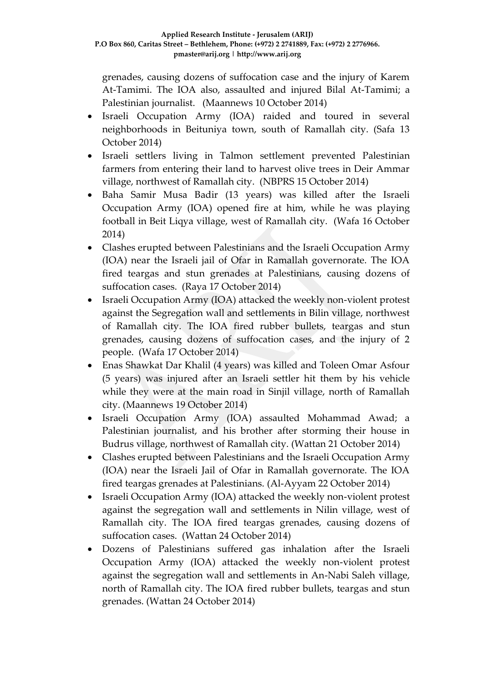grenades, causing dozens of suffocation case and the injury of Karem At-Tamimi. The IOA also, assaulted and injured Bilal At-Tamimi; a Palestinian journalist. (Maannews 10 October 2014)

- Israeli Occupation Army (IOA) raided and toured in several neighborhoods in Beituniya town, south of Ramallah city. (Safa 13 October 2014)
- Israeli settlers living in Talmon settlement prevented Palestinian farmers from entering their land to harvest olive trees in Deir Ammar village, northwest of Ramallah city. (NBPRS 15 October 2014)
- Baha Samir Musa Badir (13 years) was killed after the Israeli Occupation Army (IOA) opened fire at him, while he was playing football in Beit Liqya village, west of Ramallah city. (Wafa 16 October 2014)
- Clashes erupted between Palestinians and the Israeli Occupation Army (IOA) near the Israeli jail of Ofar in Ramallah governorate. The IOA fired teargas and stun grenades at Palestinians, causing dozens of suffocation cases. (Raya 17 October 2014)
- Israeli Occupation Army (IOA) attacked the weekly non-violent protest against the Segregation wall and settlements in Bilin village, northwest of Ramallah city. The IOA fired rubber bullets, teargas and stun grenades, causing dozens of suffocation cases, and the injury of 2 people. (Wafa 17 October 2014)
- Enas Shawkat Dar Khalil (4 years) was killed and Toleen Omar Asfour (5 years) was injured after an Israeli settler hit them by his vehicle while they were at the main road in Sinjil village, north of Ramallah city. (Maannews 19 October 2014)
- Israeli Occupation Army (IOA) assaulted Mohammad Awad; a Palestinian journalist, and his brother after storming their house in Budrus village, northwest of Ramallah city. (Wattan 21 October 2014)
- Clashes erupted between Palestinians and the Israeli Occupation Army (IOA) near the Israeli Jail of Ofar in Ramallah governorate. The IOA fired teargas grenades at Palestinians. (Al-Ayyam 22 October 2014)
- Israeli Occupation Army (IOA) attacked the weekly non-violent protest against the segregation wall and settlements in Nilin village, west of Ramallah city. The IOA fired teargas grenades, causing dozens of suffocation cases. (Wattan 24 October 2014)
- Dozens of Palestinians suffered gas inhalation after the Israeli Occupation Army (IOA) attacked the weekly non-violent protest against the segregation wall and settlements in An-Nabi Saleh village, north of Ramallah city. The IOA fired rubber bullets, teargas and stun grenades. (Wattan 24 October 2014)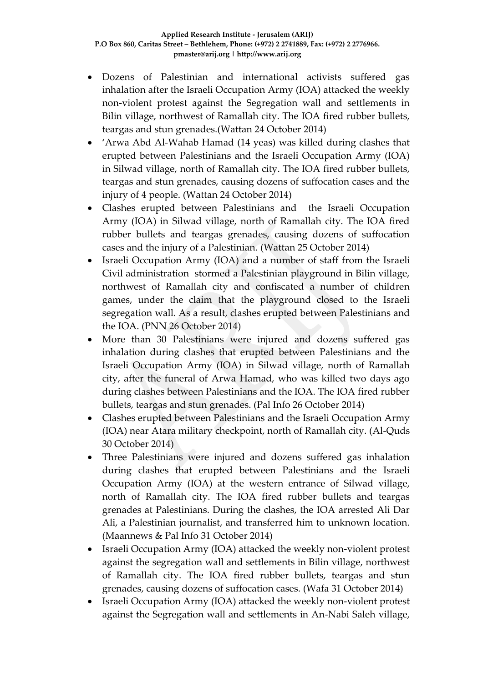- Dozens of Palestinian and international activists suffered gas inhalation after the Israeli Occupation Army (IOA) attacked the weekly non-violent protest against the Segregation wall and settlements in Bilin village, northwest of Ramallah city. The IOA fired rubber bullets, teargas and stun grenades.(Wattan 24 October 2014)
- 'Arwa Abd Al-Wahab Hamad (14 yeas) was killed during clashes that erupted between Palestinians and the Israeli Occupation Army (IOA) in Silwad village, north of Ramallah city. The IOA fired rubber bullets, teargas and stun grenades, causing dozens of suffocation cases and the injury of 4 people. (Wattan 24 October 2014)
- Clashes erupted between Palestinians and the Israeli Occupation Army (IOA) in Silwad village, north of Ramallah city. The IOA fired rubber bullets and teargas grenades, causing dozens of suffocation cases and the injury of a Palestinian. (Wattan 25 October 2014)
- Israeli Occupation Army (IOA) and a number of staff from the Israeli Civil administration stormed a Palestinian playground in Bilin village, northwest of Ramallah city and confiscated a number of children games, under the claim that the playground closed to the Israeli segregation wall. As a result, clashes erupted between Palestinians and the IOA. (PNN 26 October 2014)
- More than 30 Palestinians were injured and dozens suffered gas inhalation during clashes that erupted between Palestinians and the Israeli Occupation Army (IOA) in Silwad village, north of Ramallah city, after the funeral of Arwa Hamad, who was killed two days ago during clashes between Palestinians and the IOA. The IOA fired rubber bullets, teargas and stun grenades. (Pal Info 26 October 2014)
- Clashes erupted between Palestinians and the Israeli Occupation Army (IOA) near Atara military checkpoint, north of Ramallah city. (Al-Quds 30 October 2014)
- Three Palestinians were injured and dozens suffered gas inhalation during clashes that erupted between Palestinians and the Israeli Occupation Army (IOA) at the western entrance of Silwad village, north of Ramallah city. The IOA fired rubber bullets and teargas grenades at Palestinians. During the clashes, the IOA arrested Ali Dar Ali, a Palestinian journalist, and transferred him to unknown location. (Maannews & Pal Info 31 October 2014)
- Israeli Occupation Army (IOA) attacked the weekly non-violent protest against the segregation wall and settlements in Bilin village, northwest of Ramallah city. The IOA fired rubber bullets, teargas and stun grenades, causing dozens of suffocation cases. (Wafa 31 October 2014)
- Israeli Occupation Army (IOA) attacked the weekly non-violent protest against the Segregation wall and settlements in An-Nabi Saleh village,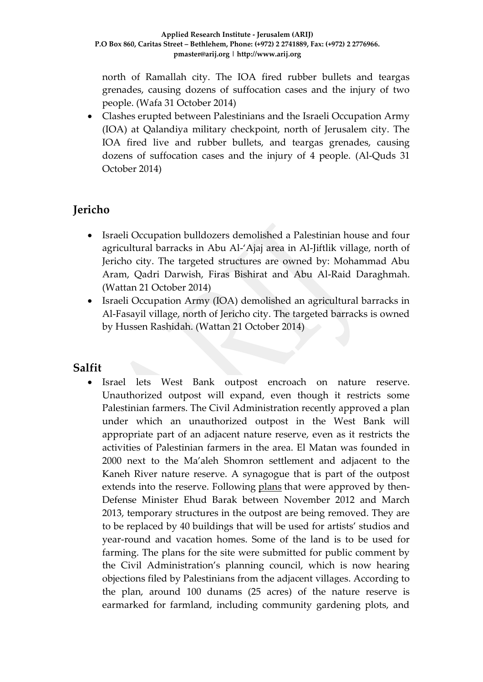north of Ramallah city. The IOA fired rubber bullets and teargas grenades, causing dozens of suffocation cases and the injury of two people. (Wafa 31 October 2014)

 Clashes erupted between Palestinians and the Israeli Occupation Army (IOA) at Qalandiya military checkpoint, north of Jerusalem city. The IOA fired live and rubber bullets, and teargas grenades, causing dozens of suffocation cases and the injury of 4 people. (Al-Quds 31 October 2014)

# **Jericho**

- Israeli Occupation bulldozers demolished a Palestinian house and four agricultural barracks in Abu Al-'Ajaj area in Al-Jiftlik village, north of Jericho city. The targeted structures are owned by: Mohammad Abu Aram, Qadri Darwish, Firas Bishirat and Abu Al-Raid Daraghmah. (Wattan 21 October 2014)
- Israeli Occupation Army (IOA) demolished an agricultural barracks in Al-Fasayil village, north of Jericho city. The targeted barracks is owned by Hussen Rashidah. (Wattan 21 October 2014)

### **Salfit**

 Israel lets West Bank outpost encroach on nature reserve. Unauthorized outpost will expand, even though it restricts some Palestinian farmers. The Civil Administration recently approved a plan under which an unauthorized outpost in the West Bank will appropriate part of an adjacent nature reserve, even as it restricts the activities of Palestinian farmers in the area. El Matan was founded in 2000 next to the Ma'aleh Shomron settlement and adjacent to the Kaneh River nature reserve. A synagogue that is part of the outpost extends into the reserve. Following [plans](http://www.haaretz.com/news/diplomacy-defense/.premium-1.561435) that were approved by then-Defense Minister Ehud Barak between November 2012 and March 2013, temporary structures in the outpost are being removed. They are to be replaced by 40 buildings that will be used for artists' studios and year-round and vacation homes. Some of the land is to be used for farming. The plans for the site were submitted for public comment by the Civil Administration's planning council, which is now hearing objections filed by Palestinians from the adjacent villages. According to the plan, around 100 dunams (25 acres) of the nature reserve is earmarked for farmland, including community gardening plots, and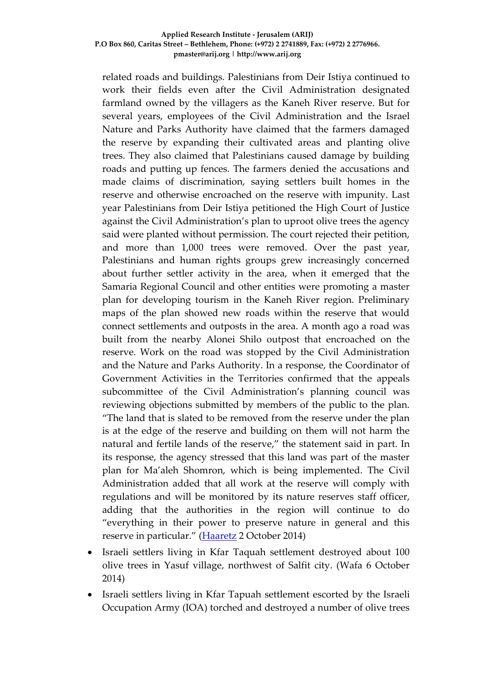related roads and buildings. Palestinians from Deir Istiya continued to work their fields even after the Civil Administration designated farmland owned by the villagers as the Kaneh River reserve. But for several years, employees of the Civil Administration and the Israel Nature and Parks Authority have claimed that the farmers damaged the reserve by expanding their cultivated areas and planting olive trees. They also claimed that Palestinians caused damage by building roads and putting up fences. The farmers denied the accusations and made claims of discrimination, saying settlers built homes in the reserve and otherwise encroached on the reserve with impunity. Last year Palestinians from Deir Istiya petitioned the High Court of Justice against the Civil Administration's plan to uproot olive trees the agency said were planted without permission. The court rejected their petition, and more than 1,000 trees were removed. Over the past year, Palestinians and human rights groups grew increasingly concerned about further settler activity in the area, when it emerged that the Samaria Regional Council and other entities were promoting a master plan for developing tourism in the Kaneh River region. Preliminary maps of the plan showed new roads within the reserve that would connect settlements and outposts in the area. A month ago a road was built from the nearby Alonei Shilo outpost that encroached on the reserve. Work on the road was stopped by the Civil Administration and the Nature and Parks Authority. In a response, the Coordinator of Government Activities in the Territories confirmed that the appeals subcommittee of the Civil Administration's planning council was reviewing objections submitted by members of the public to the plan. "The land that is slated to be removed from the reserve under the plan is at the edge of the reserve and building on them will not harm the natural and fertile lands of the reserve," the statement said in part. In its response, the agency stressed that this land was part of the master plan for Ma'aleh Shomron, which is being implemented. The Civil Administration added that all work at the reserve will comply with regulations and will be monitored by its nature reserves staff officer, adding that the authorities in the region will continue to do "everything in their power to preserve nature in general and this reserve in particular." ([Haaretz](http://www.haaretz.com/news/diplomacy-defense/.premium-1.618757) 2 October 2014)

- Israeli settlers living in Kfar Taquah settlement destroyed about 100 olive trees in Yasuf village, northwest of Salfit city. (Wafa 6 October 2014)
- Israeli settlers living in Kfar Tapuah settlement escorted by the Israeli Occupation Army (IOA) torched and destroyed a number of olive trees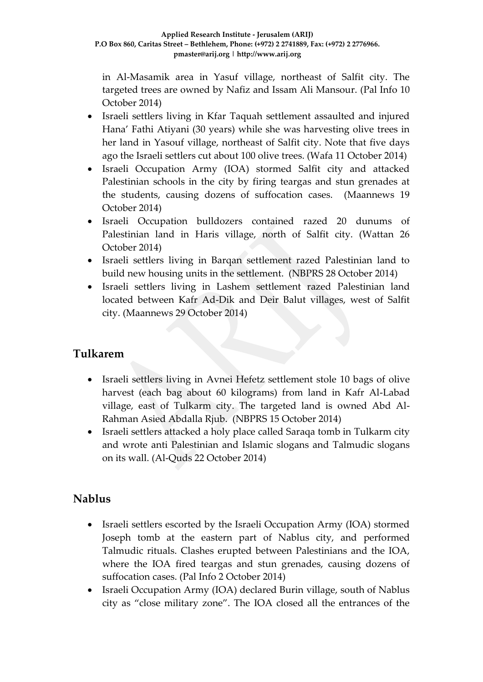in Al-Masamik area in Yasuf village, northeast of Salfit city. The targeted trees are owned by Nafiz and Issam Ali Mansour. (Pal Info 10 October 2014)

- Israeli settlers living in Kfar Taquah settlement assaulted and injured Hana' Fathi Atiyani (30 years) while she was harvesting olive trees in her land in Yasouf village, northeast of Salfit city. Note that five days ago the Israeli settlers cut about 100 olive trees. (Wafa 11 October 2014)
- Israeli Occupation Army (IOA) stormed Salfit city and attacked Palestinian schools in the city by firing teargas and stun grenades at the students, causing dozens of suffocation cases. (Maannews 19 October 2014)
- Israeli Occupation bulldozers contained razed 20 dunums of Palestinian land in Haris village, north of Salfit city. (Wattan 26 October 2014)
- Israeli settlers living in Barqan settlement razed Palestinian land to build new housing units in the settlement. (NBPRS 28 October 2014)
- Israeli settlers living in Lashem settlement razed Palestinian land located between Kafr Ad-Dik and Deir Balut villages, west of Salfit city. (Maannews 29 October 2014)

### **Tulkarem**

- Israeli settlers living in Avnei Hefetz settlement stole 10 bags of olive harvest (each bag about 60 kilograms) from land in Kafr Al-Labad village, east of Tulkarm city. The targeted land is owned Abd Al-Rahman Asied Abdalla Rjub. (NBPRS 15 October 2014)
- Israeli settlers attacked a holy place called Saraqa tomb in Tulkarm city and wrote anti Palestinian and Islamic slogans and Talmudic slogans on its wall. (Al-Quds 22 October 2014)

# **Nablus**

- Israeli settlers escorted by the Israeli Occupation Army (IOA) stormed Joseph tomb at the eastern part of Nablus city, and performed Talmudic rituals. Clashes erupted between Palestinians and the IOA, where the IOA fired teargas and stun grenades, causing dozens of suffocation cases. (Pal Info 2 October 2014)
- Israeli Occupation Army (IOA) declared Burin village, south of Nablus city as "close military zone". The IOA closed all the entrances of the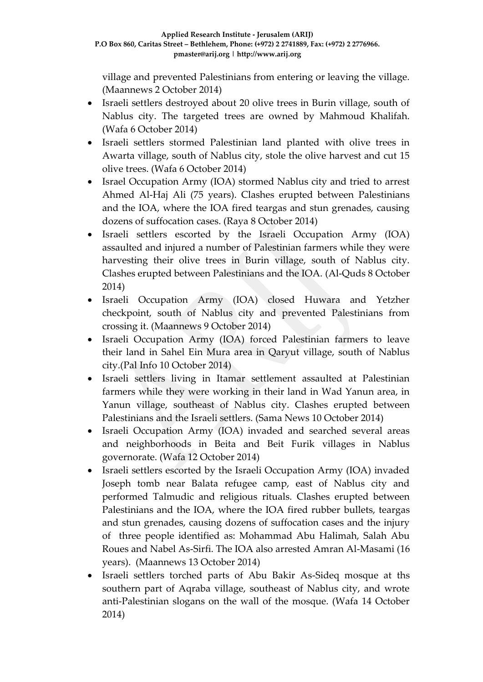village and prevented Palestinians from entering or leaving the village. (Maannews 2 October 2014)

- Israeli settlers destroyed about 20 olive trees in Burin village, south of Nablus city. The targeted trees are owned by Mahmoud Khalifah. (Wafa 6 October 2014)
- Israeli settlers stormed Palestinian land planted with olive trees in Awarta village, south of Nablus city, stole the olive harvest and cut 15 olive trees. (Wafa 6 October 2014)
- Israel Occupation Army (IOA) stormed Nablus city and tried to arrest Ahmed Al-Haj Ali (75 years). Clashes erupted between Palestinians and the IOA, where the IOA fired teargas and stun grenades, causing dozens of suffocation cases. (Raya 8 October 2014)
- Israeli settlers escorted by the Israeli Occupation Army (IOA) assaulted and injured a number of Palestinian farmers while they were harvesting their olive trees in Burin village, south of Nablus city. Clashes erupted between Palestinians and the IOA. (Al-Quds 8 October 2014)
- Israeli Occupation Army (IOA) closed Huwara and Yetzher checkpoint, south of Nablus city and prevented Palestinians from crossing it. (Maannews 9 October 2014)
- Israeli Occupation Army (IOA) forced Palestinian farmers to leave their land in Sahel Ein Mura area in Qaryut village, south of Nablus city.(Pal Info 10 October 2014)
- Israeli settlers living in Itamar settlement assaulted at Palestinian farmers while they were working in their land in Wad Yanun area, in Yanun village, southeast of Nablus city. Clashes erupted between Palestinians and the Israeli settlers. (Sama News 10 October 2014)
- Israeli Occupation Army (IOA) invaded and searched several areas and neighborhoods in Beita and Beit Furik villages in Nablus governorate. (Wafa 12 October 2014)
- Israeli settlers escorted by the Israeli Occupation Army (IOA) invaded Joseph tomb near Balata refugee camp, east of Nablus city and performed Talmudic and religious rituals. Clashes erupted between Palestinians and the IOA, where the IOA fired rubber bullets, teargas and stun grenades, causing dozens of suffocation cases and the injury of three people identified as: Mohammad Abu Halimah, Salah Abu Roues and Nabel As-Sirfi. The IOA also arrested Amran Al-Masami (16 years). (Maannews 13 October 2014)
- Israeli settlers torched parts of Abu Bakir As-Sideq mosque at ths southern part of Aqraba village, southeast of Nablus city, and wrote anti-Palestinian slogans on the wall of the mosque. (Wafa 14 October 2014)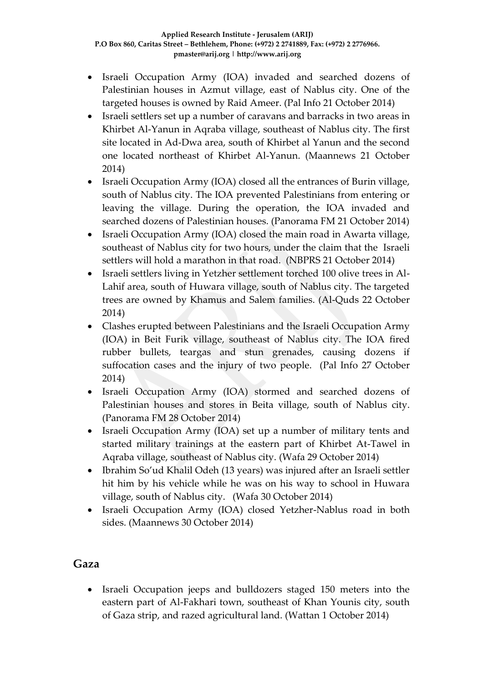- Israeli Occupation Army (IOA) invaded and searched dozens of Palestinian houses in Azmut village, east of Nablus city. One of the targeted houses is owned by Raid Ameer. (Pal Info 21 October 2014)
- Israeli settlers set up a number of caravans and barracks in two areas in Khirbet Al-Yanun in Aqraba village, southeast of Nablus city. The first site located in Ad-Dwa area, south of Khirbet al Yanun and the second one located northeast of Khirbet Al-Yanun. (Maannews 21 October 2014)
- Israeli Occupation Army (IOA) closed all the entrances of Burin village, south of Nablus city. The IOA prevented Palestinians from entering or leaving the village. During the operation, the IOA invaded and searched dozens of Palestinian houses. (Panorama FM 21 October 2014)
- Israeli Occupation Army (IOA) closed the main road in Awarta village, southeast of Nablus city for two hours, under the claim that the Israeli settlers will hold a marathon in that road. (NBPRS 21 October 2014)
- Israeli settlers living in Yetzher settlement torched 100 olive trees in Al-Lahif area, south of Huwara village, south of Nablus city. The targeted trees are owned by Khamus and Salem families. (Al-Quds 22 October 2014)
- Clashes erupted between Palestinians and the Israeli Occupation Army (IOA) in Beit Furik village, southeast of Nablus city. The IOA fired rubber bullets, teargas and stun grenades, causing dozens if suffocation cases and the injury of two people. (Pal Info 27 October 2014)
- Israeli Occupation Army (IOA) stormed and searched dozens of Palestinian houses and stores in Beita village, south of Nablus city. (Panorama FM 28 October 2014)
- Israeli Occupation Army (IOA) set up a number of military tents and started military trainings at the eastern part of Khirbet At-Tawel in Aqraba village, southeast of Nablus city. (Wafa 29 October 2014)
- Ibrahim So'ud Khalil Odeh (13 years) was injured after an Israeli settler hit him by his vehicle while he was on his way to school in Huwara village, south of Nablus city. (Wafa 30 October 2014)
- Israeli Occupation Army (IOA) closed Yetzher-Nablus road in both sides. (Maannews 30 October 2014)

### **Gaza**

• Israeli Occupation jeeps and bulldozers staged 150 meters into the eastern part of Al-Fakhari town, southeast of Khan Younis city, south of Gaza strip, and razed agricultural land. (Wattan 1 October 2014)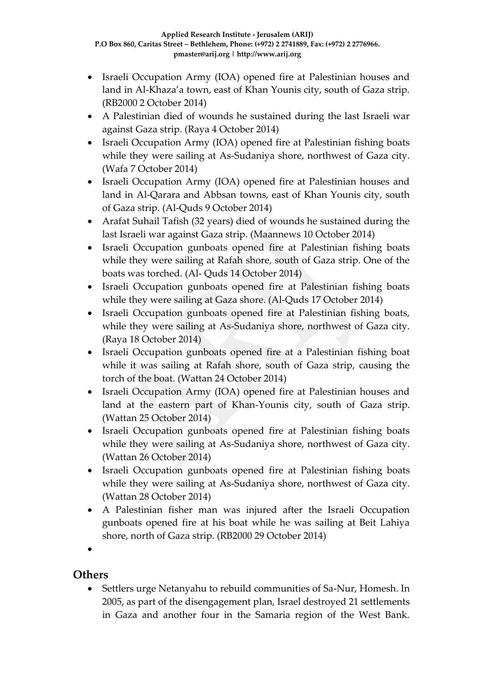- Israeli Occupation Army (IOA) opened fire at Palestinian houses and land in Al-Khaza'a town, east of Khan Younis city, south of Gaza strip. (RB2000 2 October 2014)
- A Palestinian died of wounds he sustained during the last Israeli war against Gaza strip. (Raya 4 October 2014)
- Israeli Occupation Army (IOA) opened fire at Palestinian fishing boats while they were sailing at As-Sudaniya shore, northwest of Gaza city. (Wafa 7 October 2014)
- Israeli Occupation Army (IOA) opened fire at Palestinian houses and land in Al-Qarara and Abbsan towns, east of Khan Younis city, south of Gaza strip. (Al-Quds 9 October 2014)
- Arafat Suhail Tafish (32 years) died of wounds he sustained during the last Israeli war against Gaza strip. (Maannews 10 October 2014)
- Israeli Occupation gunboats opened fire at Palestinian fishing boats while they were sailing at Rafah shore, south of Gaza strip. One of the boats was torched. (Al- Quds 14 October 2014)
- Israeli Occupation gunboats opened fire at Palestinian fishing boats while they were sailing at Gaza shore. (Al-Quds 17 October 2014)
- Israeli Occupation gunboats opened fire at Palestinian fishing boats, while they were sailing at As-Sudaniya shore, northwest of Gaza city. (Raya 18 October 2014)
- Israeli Occupation gunboats opened fire at a Palestinian fishing boat while it was sailing at Rafah shore, south of Gaza strip, causing the torch of the boat. (Wattan 24 October 2014)
- Israeli Occupation Army (IOA) opened fire at Palestinian houses and land at the eastern part of Khan-Younis city, south of Gaza strip. (Wattan 25 October 2014)
- Israeli Occupation gunboats opened fire at Palestinian fishing boats while they were sailing at As-Sudaniya shore, northwest of Gaza city. (Wattan 26 October 2014)
- Israeli Occupation gunboats opened fire at Palestinian fishing boats while they were sailing at As-Sudaniya shore, northwest of Gaza city. (Wattan 28 October 2014)
- A Palestinian fisher man was injured after the Israeli Occupation gunboats opened fire at his boat while he was sailing at Beit Lahiya shore, north of Gaza strip. (RB2000 29 October 2014)

 $\bullet$ 

### **Others**

 Settlers urge Netanyahu to rebuild communities of Sa-Nur, Homesh. In 2005, as part of the disengagement plan, Israel destroyed 21 settlements in Gaza and another four in the Samaria region of the West Bank.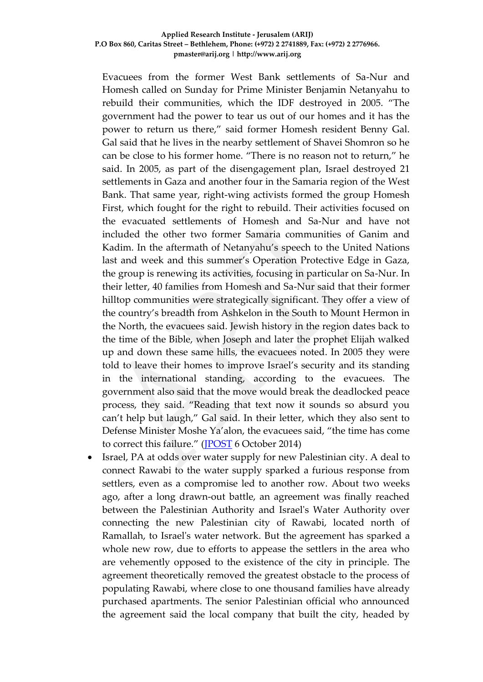Evacuees from the former West Bank settlements of Sa-Nur and Homesh called on Sunday for Prime Minister Benjamin Netanyahu to rebuild their communities, which the IDF destroyed in 2005. "The government had the power to tear us out of our homes and it has the power to return us there," said former Homesh resident Benny Gal. Gal said that he lives in the nearby settlement of Shavei Shomron so he can be close to his former home. "There is no reason not to return," he said. In 2005, as part of the disengagement plan, Israel destroyed 21 settlements in Gaza and another four in the Samaria region of the West Bank. That same year, right-wing activists formed the group Homesh First, which fought for the right to rebuild. Their activities focused on the evacuated settlements of Homesh and Sa-Nur and have not included the other two former Samaria communities of Ganim and Kadim. In the aftermath of Netanyahu's speech to the United Nations last and week and this summer's Operation Protective Edge in Gaza, the group is renewing its activities, focusing in particular on Sa-Nur. In their letter, 40 families from Homesh and Sa-Nur said that their former hilltop communities were strategically significant. They offer a view of the country's breadth from Ashkelon in the South to Mount Hermon in the North, the evacuees said. Jewish history in the region dates back to the time of the Bible, when Joseph and later the prophet Elijah walked up and down these same hills, the evacuees noted. In 2005 they were told to leave their homes to improve Israel's security and its standing in the international standing, according to the evacuees. The government also said that the move would break the deadlocked peace process, they said. "Reading that text now it sounds so absurd you can't help but laugh," Gal said. In their letter, which they also sent to Defense Minister Moshe Ya'alon, the evacuees said, "the time has come to correct this failure." ([JPOST](http://www.jpost.com/Israel-News/Settlers-urge-Netanyahu-to-rebuild-communities-of-Sa-Nur-Homesh-378125) 6 October 2014)

 Israel, PA at odds over water supply for new Palestinian city. A deal to connect Rawabi to the water supply sparked a furious response from settlers, even as a compromise led to another row. About two weeks ago, after a long drawn-out battle, an agreement was finally reached between the Palestinian Authority and Israel's Water Authority over connecting the new Palestinian city of Rawabi, located north of Ramallah, to Israel's water network. But the agreement has sparked a whole new row, due to efforts to appease the settlers in the area who are vehemently opposed to the existence of the city in principle. The agreement theoretically removed the greatest obstacle to the process of populating Rawabi, where close to one thousand families have already purchased apartments. The senior Palestinian official who announced the agreement said the local company that built the city, headed by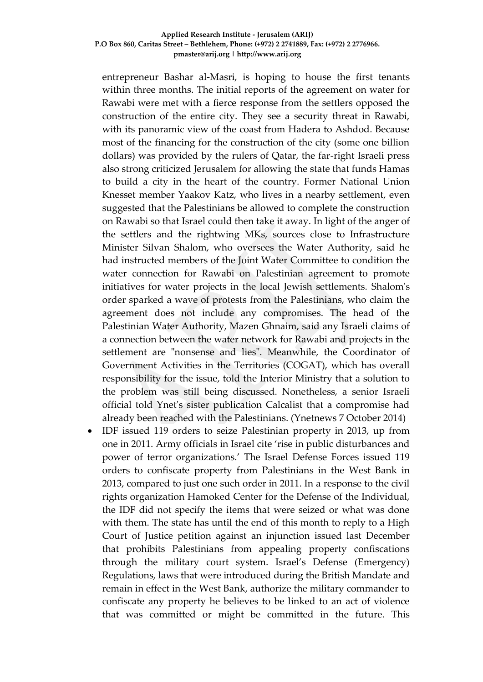entrepreneur Bashar al-Masri, is hoping to house the first tenants within three months. The initial reports of the agreement on water for Rawabi were met with a fierce response from the settlers opposed the construction of the entire city. They see a security threat in Rawabi, with its panoramic view of the coast from Hadera to Ashdod. Because most of the financing for the construction of the city (some one billion dollars) was provided by the rulers of Qatar, the far-right Israeli press also strong criticized Jerusalem for allowing the state that funds Hamas to build a city in the heart of the country. Former National Union Knesset member Yaakov Katz, who lives in a nearby settlement, even suggested that the Palestinians be allowed to complete the construction on Rawabi so that Israel could then take it away. In light of the anger of the settlers and the rightwing MKs, sources close to Infrastructure Minister Silvan Shalom, who oversees the Water Authority, said he had instructed members of the Joint Water Committee to condition the water connection for Rawabi on Palestinian agreement to promote initiatives for water projects in the local Jewish settlements. Shalom's order sparked a wave of protests from the Palestinians, who claim the agreement does not include any compromises. The head of the Palestinian Water Authority, Mazen Ghnaim, said any Israeli claims of a connection between the water network for Rawabi and projects in the settlement are "nonsense and lies". Meanwhile, the Coordinator of Government Activities in the Territories (COGAT), which has overall responsibility for the issue, told the Interior Ministry that a solution to the problem was still being discussed. Nonetheless, a senior Israeli official told Ynet's sister publication Calcalist that a compromise had already been reached with the Palestinians. (Ynetnews 7 October 2014)

 IDF issued 119 orders to seize Palestinian property in 2013, up from one in 2011. Army officials in Israel cite 'rise in public disturbances and power of terror organizations.' The Israel Defense Forces issued 119 orders to confiscate property from Palestinians in the West Bank in 2013, compared to just one such order in 2011. In a response to the civil rights organization Hamoked Center for the Defense of the Individual, the IDF did not specify the items that were seized or what was done with them. The state has until the end of this month to reply to a High Court of Justice petition against an injunction issued last December that prohibits Palestinians from appealing property confiscations through the military court system. Israel's Defense (Emergency) Regulations, laws that were introduced during the British Mandate and remain in effect in the West Bank, authorize the military commander to confiscate any property he believes to be linked to an act of violence that was committed or might be committed in the future. This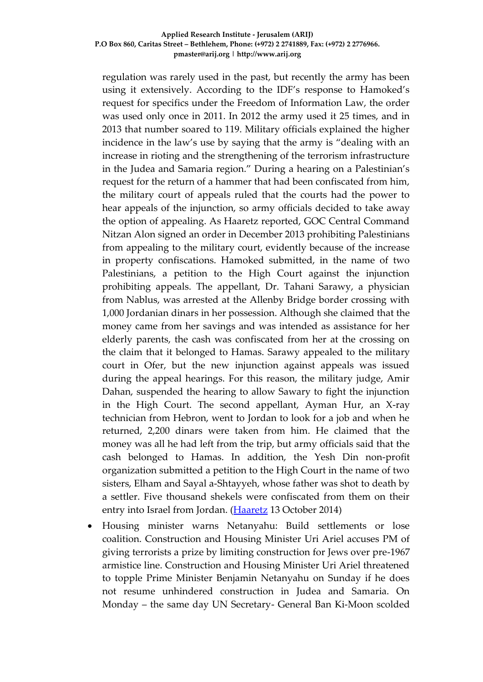regulation was rarely used in the past, but recently the army has been using it extensively. According to the IDF's response to Hamoked's request for specifics under the Freedom of Information Law, the order was used only once in 2011. In 2012 the army used it 25 times, and in 2013 that number soared to 119. Military officials explained the higher incidence in the law's use by saying that the army is "dealing with an increase in rioting and the strengthening of the terrorism infrastructure in the Judea and Samaria region." During a hearing on a Palestinian's request for the return of a hammer that had been confiscated from him, the military court of appeals ruled that the courts had the power to hear appeals of the injunction, so army officials decided to take away the option of appealing. As Haaretz reported, GOC Central Command Nitzan Alon signed an order in December 2013 prohibiting Palestinians from appealing to the military court, evidently because of the increase in property confiscations. Hamoked submitted, in the name of two Palestinians, a petition to the High Court against the injunction prohibiting appeals. The appellant, Dr. Tahani Sarawy, a physician from Nablus, was arrested at the Allenby Bridge border crossing with 1,000 Jordanian dinars in her possession. Although she claimed that the money came from her savings and was intended as assistance for her elderly parents, the cash was confiscated from her at the crossing on the claim that it belonged to Hamas. Sarawy appealed to the military court in Ofer, but the new injunction against appeals was issued during the appeal hearings. For this reason, the military judge, Amir Dahan, suspended the hearing to allow Sawary to fight the injunction in the High Court. The second appellant, Ayman Hur, an X-ray technician from Hebron, went to Jordan to look for a job and when he returned, 2,200 dinars were taken from him. He claimed that the money was all he had left from the trip, but army officials said that the cash belonged to Hamas. In addition, the Yesh Din non-profit organization submitted a petition to the High Court in the name of two sisters, Elham and Sayal a-Shtayyeh, whose father was shot to death by a settler. Five thousand shekels were confiscated from them on their entry into Israel from Jordan. [\(Haaretz](http://www.haaretz.com/news/national/.premium-1.620394) 13 October 2014)

 Housing minister warns Netanyahu: Build settlements or lose coalition. Construction and Housing Minister Uri Ariel accuses PM of giving terrorists a prize by limiting construction for Jews over pre-1967 armistice line. Construction and Housing Minister Uri Ariel threatened to topple Prime Minister Benjamin Netanyahu on Sunday if he does not resume unhindered construction in Judea and Samaria. On Monday – the same day UN Secretary- General Ban Ki-Moon scolded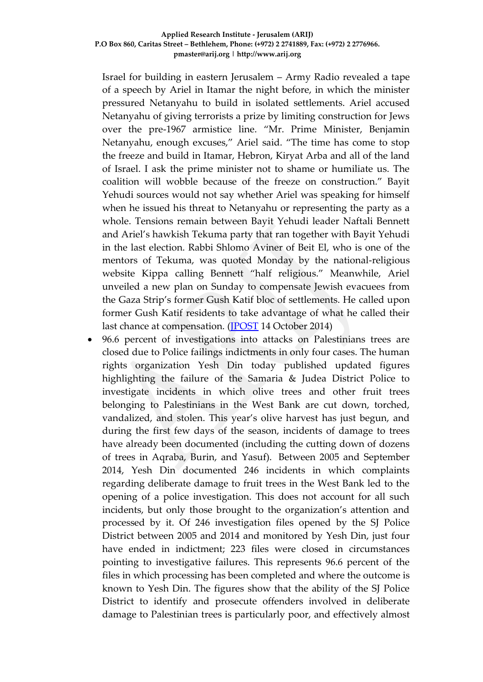Israel for building in eastern Jerusalem – Army Radio revealed a tape of a speech by Ariel in Itamar the night before, in which the minister pressured Netanyahu to build in isolated settlements. Ariel accused Netanyahu of giving terrorists a prize by limiting construction for Jews over the pre-1967 armistice line. "Mr. Prime Minister, Benjamin Netanyahu, enough excuses," Ariel said. "The time has come to stop the freeze and build in Itamar, Hebron, Kiryat Arba and all of the land of Israel. I ask the prime minister not to shame or humiliate us. The coalition will wobble because of the freeze on construction." Bayit Yehudi sources would not say whether Ariel was speaking for himself when he issued his threat to Netanyahu or representing the party as a whole. Tensions remain between Bayit Yehudi leader Naftali Bennett and Ariel's hawkish Tekuma party that ran together with Bayit Yehudi in the last election. Rabbi Shlomo Aviner of Beit El, who is one of the mentors of Tekuma, was quoted Monday by the national-religious website Kippa calling Bennett "half religious." Meanwhile, Ariel unveiled a new plan on Sunday to compensate Jewish evacuees from the Gaza Strip's former Gush Katif bloc of settlements. He called upon former Gush Katif residents to take advantage of what he called their last chance at compensation. [\(JPOST](http://www.jpost.com/Israel-News/Politics-And-Diplomacy/Housing-minister-warns-Netanyahu-Build-settlements-or-lose-coalition-378822) 14 October 2014)

 96.6 percent of investigations into attacks on Palestinians trees are closed due to Police failings indictments in only four cases. The human rights organization Yesh Din today published updated figures highlighting the failure of the Samaria & Judea District Police to investigate incidents in which olive trees and other fruit trees belonging to Palestinians in the West Bank are cut down, torched, vandalized, and stolen. This year's olive harvest has just begun, and during the first few days of the season, incidents of damage to trees have already been documented (including the cutting down of dozens of trees in Aqraba, Burin, and Yasuf). Between 2005 and September 2014, Yesh Din documented 246 incidents in which complaints regarding deliberate damage to fruit trees in the West Bank led to the opening of a police investigation. This does not account for all such incidents, but only those brought to the organization's attention and processed by it. Of 246 investigation files opened by the SJ Police District between 2005 and 2014 and monitored by Yesh Din, just four have ended in indictment; 223 files were closed in circumstances pointing to investigative failures. This represents 96.6 percent of the files in which processing has been completed and where the outcome is known to Yesh Din. The figures show that the ability of the SJ Police District to identify and prosecute offenders involved in deliberate damage to Palestinian trees is particularly poor, and effectively almost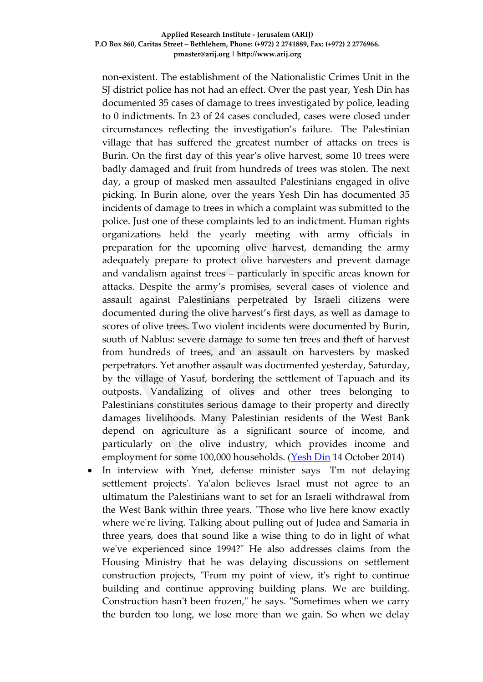non-existent. The establishment of the Nationalistic Crimes Unit in the SJ district police has not had an effect. Over the past year, Yesh Din has documented 35 cases of damage to trees investigated by police, leading to 0 indictments. In 23 of 24 cases concluded, cases were closed under circumstances reflecting the investigation's failure. The Palestinian village that has suffered the greatest number of attacks on trees is Burin. On the first day of this year's olive harvest, some 10 trees were badly damaged and fruit from hundreds of trees was stolen. The next day, a group of masked men assaulted Palestinians engaged in olive picking. In Burin alone, over the years Yesh Din has documented 35 incidents of damage to trees in which a complaint was submitted to the police. Just one of these complaints led to an indictment. Human rights organizations held the yearly meeting with army officials in preparation for the upcoming olive harvest, demanding the army adequately prepare to protect olive harvesters and prevent damage and vandalism against trees – particularly in specific areas known for attacks. Despite the army's promises, several cases of violence and assault against Palestinians perpetrated by Israeli citizens were documented during the olive harvest's first days, as well as damage to scores of olive trees. Two violent incidents were documented by Burin, south of Nablus: severe damage to some ten trees and theft of harvest from hundreds of trees, and an assault on harvesters by masked perpetrators. Yet another assault was documented yesterday, Saturday, by the village of Yasuf, bordering the settlement of Tapuach and its outposts. Vandalizing of olives and other trees belonging to Palestinians constitutes serious damage to their property and directly damages livelihoods. Many Palestinian residents of the West Bank depend on agriculture as a significant source of income, and particularly on the olive industry, which provides income and employment for some 100,000 households. [\(Yesh Din](http://www.yesh-din.org/postview.asp?postid=286) 14 October 2014)

 In interview with Ynet, defense minister says 'I'm not delaying settlement projects'. Ya'alon believes Israel must not agree to an ultimatum the Palestinians want to set for an Israeli withdrawal from the West Bank within three years. "Those who live here know exactly where we're living. Talking about pulling out of Judea and Samaria in three years, does that sound like a wise thing to do in light of what we've experienced since 1994?" He also addresses claims from the Housing Ministry that he was delaying discussions on settlement construction projects, "From my point of view, it's right to continue building and continue approving building plans. We are building. Construction hasn't been frozen," he says. "Sometimes when we carry the burden too long, we lose more than we gain. So when we delay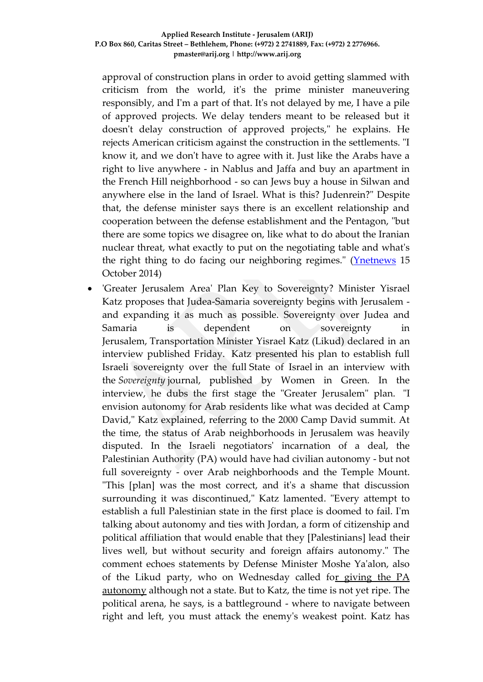approval of construction plans in order to avoid getting slammed with criticism from the world, it's the prime minister maneuvering responsibly, and I'm a part of that. It's not delayed by me, I have a pile of approved projects. We delay tenders meant to be released but it doesn't delay construction of approved projects," he explains. He rejects American criticism against the construction in the settlements. "I know it, and we don't have to agree with it. Just like the Arabs have a right to live anywhere - in Nablus and Jaffa and buy an apartment in the French Hill neighborhood - so can Jews buy a house in Silwan and anywhere else in the land of Israel. What is this? Judenrein?" Despite that, the defense minister says there is an excellent relationship and cooperation between the defense establishment and the Pentagon, "but there are some topics we disagree on, like what to do about the Iranian nuclear threat, what exactly to put on the negotiating table and what's the right thing to do facing our neighboring regimes." [\(Ynetnews](http://www.ynetnews.com/articles/0,7340,L-4580801,00.html) 15 October 2014)

 'Greater Jerusalem Area' Plan Key to Sovereignty? Minister Yisrael Katz proposes that Judea-Samaria sovereignty begins with Jerusalem and expanding it as much as possible. Sovereignty over Judea and Samaria is dependent on sovereignty in Jerusalem, Transportation Minister Yisrael Katz (Likud) declared in an interview published Friday. Katz presented his plan to establish full Israeli sovereignty over the full State of Israel in an interview with the *Sovereignty* journal, published by Women in Green. In the interview, he dubs the first stage the "Greater Jerusalem" plan. "I envision autonomy for Arab residents like what was decided at Camp David," Katz explained, referring to the 2000 Camp David summit. At the time, the status of Arab neighborhoods in Jerusalem was heavily disputed. In the Israeli negotiators' incarnation of a deal, the Palestinian Authority (PA) would have had civilian autonomy - but not full sovereignty - over Arab neighborhoods and the Temple Mount. "This [plan] was the most correct, and it's a shame that discussion surrounding it was discontinued," Katz lamented. "Every attempt to establish a full Palestinian state in the first place is doomed to fail. I'm talking about autonomy and ties with Jordan, a form of citizenship and political affiliation that would enable that they [Palestinians] lead their lives well, but without security and foreign affairs autonomy." The comment echoes statements by Defense Minister Moshe Ya'alon, also of the Likud party, who on Wednesday called f[or giving the PA](http://www.israelnationalnews.com/News/News.aspx/186215)  [autonomy](http://www.israelnationalnews.com/News/News.aspx/186215) although not a state. But to Katz, the time is not yet ripe. The political arena, he says, is a battleground - where to navigate between right and left, you must attack the enemy's weakest point. Katz has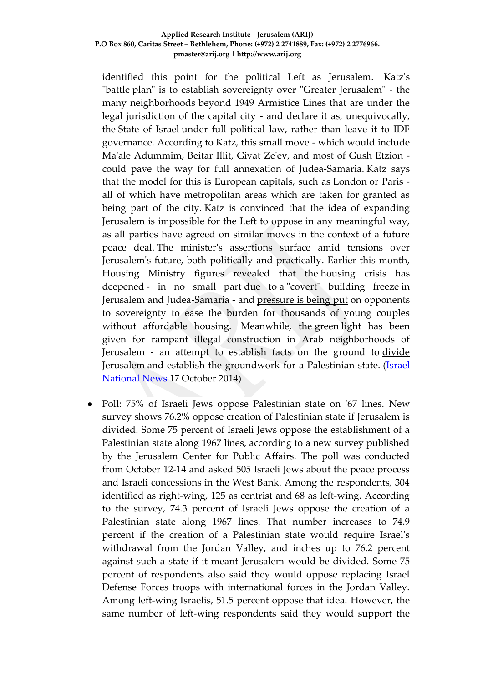identified this point for the political Left as Jerusalem. Katz's "battle plan" is to establish sovereignty over "Greater Jerusalem" - the many neighborhoods beyond 1949 Armistice Lines that are under the legal jurisdiction of the capital city - and declare it as, unequivocally, the State of Israel under full political law, rather than leave it to IDF governance. According to Katz, this small move - which would include Ma'ale Adummim, Beitar Illit, Givat Ze'ev, and most of Gush Etzion could pave the way for full annexation of Judea-Samaria. Katz says that the model for this is European capitals, such as London or Paris all of which have metropolitan areas which are taken for granted as being part of the city. Katz is convinced that the idea of expanding Jerusalem is impossible for the Left to oppose in any meaningful way, as all parties have agreed on similar moves in the context of a future peace deal. The minister's assertions surface amid tensions over Jerusalem's future, both politically and practically. Earlier this month, Housing Ministry figures revealed that the [housing crisis has](http://www.israelnationalnews.com/News/News.aspx/185686)  [deepened](http://www.israelnationalnews.com/News/News.aspx/185686) - in no small part due to a ["covert" building freeze](http://www.israelnationalnews.com/News/News.aspx/184677) in Jerusalem and Judea-Samaria - and [pressure is being put](http://www.israelnationalnews.com/News/News.aspx/186187-YuUfR0) on opponents to sovereignty to ease the burden for thousands of young couples without affordable housing. Meanwhile, the green light has been given for rampant illegal construction in Arab neighborhoods of Jerusalem - an attempt to establish facts on the ground to [divide](http://www.israelnationalnews.com/News/News.aspx/185404)  [Jerusalem](http://www.israelnationalnews.com/News/News.aspx/185404) and establish the groundwork for a Palestinian state. [\(Israel](http://www.israelnationalnews.com/News/News.aspx/186243)  [National News](http://www.israelnationalnews.com/News/News.aspx/186243) 17 October 2014)

 Poll: 75% of Israeli Jews oppose Palestinian state on '67 lines. New survey shows 76.2% oppose creation of Palestinian state if Jerusalem is divided. Some 75 percent of Israeli Jews oppose the establishment of a Palestinian state along 1967 lines, according to a new survey published by the Jerusalem Center for Public Affairs. The poll was conducted from October 12-14 and asked 505 Israeli Jews about the peace process and Israeli concessions in the West Bank. Among the respondents, 304 identified as right-wing, 125 as centrist and 68 as left-wing. According to the survey, 74.3 percent of Israeli Jews oppose the creation of a Palestinian state along 1967 lines. That number increases to 74.9 percent if the creation of a Palestinian state would require Israel's withdrawal from the Jordan Valley, and inches up to 76.2 percent against such a state if it meant Jerusalem would be divided. Some 75 percent of respondents also said they would oppose replacing Israel Defense Forces troops with international forces in the Jordan Valley. Among left-wing Israelis, 51.5 percent oppose that idea. However, the same number of left-wing respondents said they would support the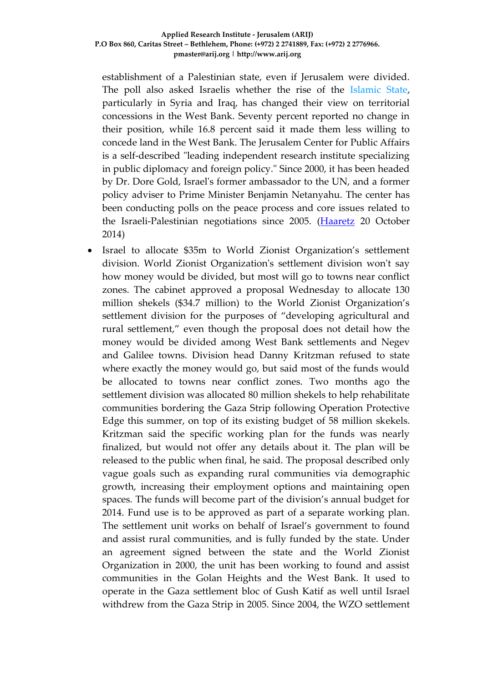establishment of a Palestinian state, even if Jerusalem were divided. The poll also asked Israelis whether the rise of the [Islamic State,](http://www.haaretz.com/misc/tags/Islamic%20State-1.610350) particularly in Syria and Iraq, has changed their view on territorial concessions in the West Bank. Seventy percent reported no change in their position, while 16.8 percent said it made them less willing to concede land in the West Bank. The Jerusalem Center for Public Affairs is a self-described "leading independent research institute specializing in public diplomacy and foreign policy." Since 2000, it has been headed by Dr. Dore Gold, Israel's former ambassador to the UN, and a former policy adviser to Prime Minister Benjamin Netanyahu. The center has been conducting polls on the peace process and core issues related to the Israeli-Palestinian negotiations since 2005. [\(Haaretz](http://www.haaretz.com/news/diplomacy-defense/1.621568) 20 October 2014)

 Israel to allocate \$35m to World Zionist Organization's settlement division. World Zionist Organization's settlement division won't say how money would be divided, but most will go to towns near conflict zones. The cabinet approved a proposal Wednesday to allocate 130 million shekels (\$34.7 million) to the World Zionist Organization's settlement division for the purposes of "developing agricultural and rural settlement," even though the proposal does not detail how the money would be divided among West Bank settlements and Negev and Galilee towns. Division head Danny Kritzman refused to state where exactly the money would go, but said most of the funds would be allocated to towns near conflict zones. Two months ago the settlement division was allocated 80 million shekels to help rehabilitate communities bordering the Gaza Strip following Operation Protective Edge this summer, on top of its existing budget of 58 million skekels. Kritzman said the specific working plan for the funds was nearly finalized, but would not offer any details about it. The plan will be released to the public when final, he said. The proposal described only vague goals such as expanding rural communities via demographic growth, increasing their employment options and maintaining open spaces. The funds will become part of the division's annual budget for 2014. Fund use is to be approved as part of a separate working plan. The settlement unit works on behalf of Israel's government to found and assist rural communities, and is fully funded by the state. Under an agreement signed between the state and the World Zionist Organization in 2000, the unit has been working to found and assist communities in the Golan Heights and the West Bank. It used to operate in the Gaza settlement bloc of Gush Katif as well until Israel withdrew from the Gaza Strip in 2005. Since 2004, the WZO settlement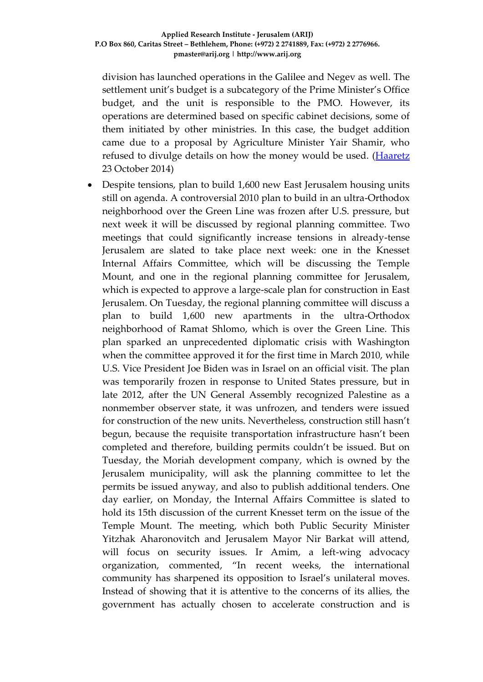division has launched operations in the Galilee and Negev as well. The settlement unit's budget is a subcategory of the Prime Minister's Office budget, and the unit is responsible to the PMO. However, its operations are determined based on specific cabinet decisions, some of them initiated by other ministries. In this case, the budget addition came due to a proposal by Agriculture Minister Yair Shamir, who refused to divulge details on how the money would be used. [\(Haaretz](http://www.haaretz.com/news/national/.premium-1.622273) 23 October 2014)

 Despite tensions, plan to build 1,600 new East Jerusalem housing units still on agenda. A controversial 2010 plan to build in an ultra-Orthodox neighborhood over the Green Line was frozen after U.S. pressure, but next week it will be discussed by regional planning committee. Two meetings that could significantly increase tensions in already-tense Jerusalem are slated to take place next week: one in the Knesset Internal Affairs Committee, which will be discussing the Temple Mount, and one in the regional planning committee for Jerusalem, which is expected to approve a large-scale plan for construction in East Jerusalem. On Tuesday, the regional planning committee will discuss a plan to build 1,600 new apartments in the ultra-Orthodox neighborhood of Ramat Shlomo, which is over the Green Line. This plan sparked an unprecedented diplomatic crisis with Washington when the committee approved it for the first time in March 2010, while U.S. Vice President Joe Biden was in Israel on an official visit. The plan was temporarily frozen in response to United States pressure, but in late 2012, after the UN General Assembly recognized Palestine as a nonmember observer state, it was unfrozen, and tenders were issued for construction of the new units. Nevertheless, construction still hasn't begun, because the requisite transportation infrastructure hasn't been completed and therefore, building permits couldn't be issued. But on Tuesday, the Moriah development company, which is owned by the Jerusalem municipality, will ask the planning committee to let the permits be issued anyway, and also to publish additional tenders. One day earlier, on Monday, the Internal Affairs Committee is slated to hold its 15th discussion of the current Knesset term on the issue of the Temple Mount. The meeting, which both Public Security Minister Yitzhak Aharonovitch and Jerusalem Mayor Nir Barkat will attend, will focus on security issues. Ir Amim, a left-wing advocacy organization, commented, "In recent weeks, the international community has sharpened its opposition to Israel's unilateral moves. Instead of showing that it is attentive to the concerns of its allies, the government has actually chosen to accelerate construction and is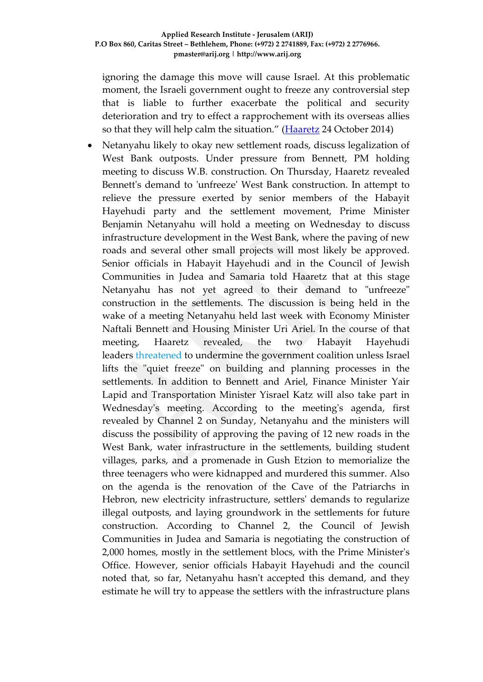ignoring the damage this move will cause Israel. At this problematic moment, the Israeli government ought to freeze any controversial step that is liable to further exacerbate the political and security deterioration and try to effect a rapprochement with its overseas allies so that they will help calm the situation." [\(Haaretz](http://www.haaretz.com/news/national/.premium-1.622479) 24 October 2014)

 Netanyahu likely to okay new settlement roads, discuss legalization of West Bank outposts. Under pressure from Bennett, PM holding meeting to discuss W.B. construction. On Thursday, Haaretz revealed Bennett's demand to 'unfreeze' West Bank construction. In attempt to relieve the pressure exerted by senior members of the Habayit Hayehudi party and the settlement movement, Prime Minister Benjamin Netanyahu will hold a meeting on Wednesday to discuss infrastructure development in the West Bank, where the paving of new roads and several other small projects will most likely be approved. Senior officials in Habayit Hayehudi and in the Council of Jewish Communities in Judea and Samaria told Haaretz that at this stage Netanyahu has not yet agreed to their demand to "unfreeze" construction in the settlements. The discussion is being held in the wake of a meeting Netanyahu held last week with Economy Minister Naftali Bennett and Housing Minister Uri Ariel. In the course of that meeting, Haaretz revealed, the two Habayit Hayehudi leaders [threatened](http://www.haaretz.com/news/diplomacy-defense/.premium-1.622252) to undermine the government coalition unless Israel lifts the "quiet freeze" on building and planning processes in the settlements. In addition to Bennett and Ariel, Finance Minister Yair Lapid and Transportation Minister Yisrael Katz will also take part in Wednesday's meeting. According to the meeting's agenda, first revealed by Channel 2 on Sunday, Netanyahu and the ministers will discuss the possibility of approving the paving of 12 new roads in the West Bank, water infrastructure in the settlements, building student villages, parks, and a promenade in Gush Etzion to memorialize the three teenagers who were kidnapped and murdered this summer. Also on the agenda is the renovation of the Cave of the Patriarchs in Hebron, new electricity infrastructure, settlers' demands to regularize illegal outposts, and laying groundwork in the settlements for future construction. According to Channel 2, the Council of Jewish Communities in Judea and Samaria is negotiating the construction of 2,000 homes, mostly in the settlement blocs, with the Prime Minister's Office. However, senior officials Habayit Hayehudi and the council noted that, so far, Netanyahu hasn't accepted this demand, and they estimate he will try to appease the settlers with the infrastructure plans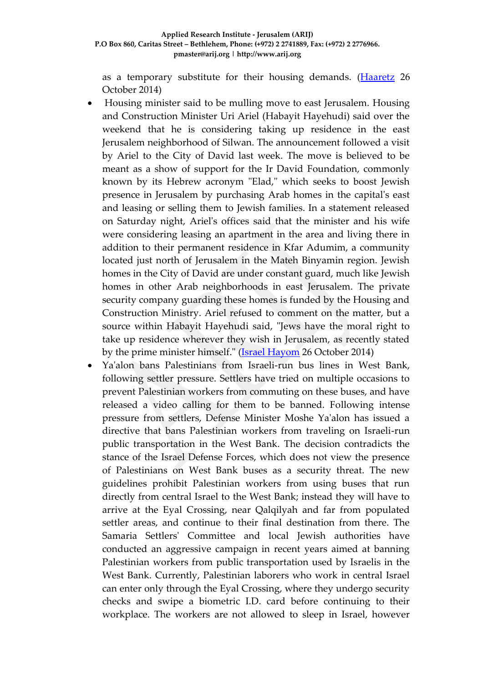as a temporary substitute for their housing demands. [\(Haaretz](http://www.haaretz.com/news/diplomacy-defense/.premium-1.622901) 26 October 2014)

- Housing minister said to be mulling move to east Jerusalem. Housing and Construction Minister Uri Ariel (Habayit Hayehudi) said over the weekend that he is considering taking up residence in the east Jerusalem neighborhood of Silwan. The announcement followed a visit by Ariel to the City of David last week. The move is believed to be meant as a show of support for the Ir David Foundation, commonly known by its Hebrew acronym "Elad," which seeks to boost Jewish presence in Jerusalem by purchasing Arab homes in the capital's east and leasing or selling them to Jewish families. In a statement released on Saturday night, Ariel's offices said that the minister and his wife were considering leasing an apartment in the area and living there in addition to their permanent residence in Kfar Adumim, a community located just north of Jerusalem in the Mateh Binyamin region. Jewish homes in the City of David are under constant guard, much like Jewish homes in other Arab neighborhoods in east Jerusalem. The private security company guarding these homes is funded by the Housing and Construction Ministry. Ariel refused to comment on the matter, but a source within Habayit Hayehudi said, "Jews have the moral right to take up residence wherever they wish in Jerusalem, as recently stated by the prime minister himself." [\(Israel Hayom](http://www.israelhayom.com/site/newsletter_article.php?id=20977) 26 October 2014)
- Ya'alon bans Palestinians from Israeli-run bus lines in West Bank, following settler pressure. Settlers have tried on multiple occasions to prevent Palestinian workers from commuting on these buses, and have released a video calling for them to be banned. Following intense pressure from settlers, Defense Minister Moshe Ya'alon has issued a directive that bans Palestinian workers from traveling on Israeli-run public transportation in the West Bank. The decision contradicts the stance of the Israel Defense Forces, which does not view the presence of Palestinians on West Bank buses as a security threat. The new guidelines prohibit Palestinian workers from using buses that run directly from central Israel to the West Bank; instead they will have to arrive at the Eyal Crossing, near Qalqilyah and far from populated settler areas, and continue to their final destination from there. The Samaria Settlers' Committee and local Jewish authorities have conducted an aggressive campaign in recent years aimed at banning Palestinian workers from public transportation used by Israelis in the West Bank. Currently, Palestinian laborers who work in central Israel can enter only through the Eyal Crossing, where they undergo security checks and swipe a biometric I.D. card before continuing to their workplace. The workers are not allowed to sleep in Israel, however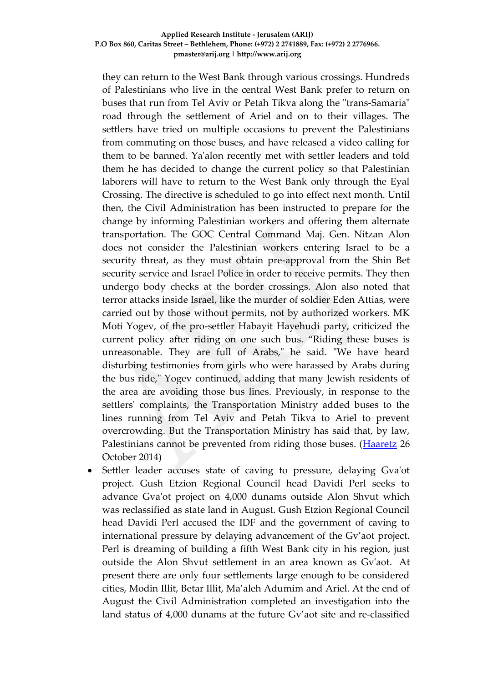they can return to the West Bank through various crossings. Hundreds of Palestinians who live in the central West Bank prefer to return on buses that run from Tel Aviv or Petah Tikva along the "trans-Samaria" road through the settlement of Ariel and on to their villages. The settlers have tried on multiple occasions to prevent the Palestinians from commuting on those buses, and have released a video calling for them to be banned. Ya'alon recently met with settler leaders and told them he has decided to change the current policy so that Palestinian laborers will have to return to the West Bank only through the Eyal Crossing. The directive is scheduled to go into effect next month. Until then, the Civil Administration has been instructed to prepare for the change by informing Palestinian workers and offering them alternate transportation. The GOC Central Command Maj. Gen. Nitzan Alon does not consider the Palestinian workers entering Israel to be a security threat, as they must obtain pre-approval from the Shin Bet security service and Israel Police in order to receive permits. They then undergo body checks at the border crossings. Alon also noted that terror attacks inside Israel, like the murder of soldier Eden Attias, were carried out by those without permits, not by authorized workers. MK Moti Yogev, of the pro-settler Habayit Hayehudi party, criticized the current policy after riding on one such bus. "Riding these buses is unreasonable. They are full of Arabs," he said. "We have heard disturbing testimonies from girls who were harassed by Arabs during the bus ride," Yogev continued, adding that many Jewish residents of the area are avoiding those bus lines. Previously, in response to the settlers' complaints, the Transportation Ministry added buses to the lines running from Tel Aviv and Petah Tikva to Ariel to prevent overcrowding. But the Transportation Ministry has said that, by law, Palestinians cannot be prevented from riding those buses. [\(Haaretz](http://www.haaretz.com/news/national/.premium-1.622414) 26 October 2014)

 Settler leader accuses state of caving to pressure, delaying Gva'ot project. Gush Etzion Regional Council head Davidi Perl seeks to advance Gva'ot project on 4,000 dunams outside Alon Shvut which was reclassified as state land in August. Gush Etzion Regional Council head Davidi Perl accused the IDF and the government of caving to international pressure by delaying advancement of the Gv'aot project. Perl is dreaming of building a fifth West Bank city in his region, just outside the Alon Shvut settlement in an area known as Gv'aot. At present there are only four settlements large enough to be considered cities, Modin Illit, Betar Illit, Ma'aleh Adumim and Ariel. At the end of August the Civil Administration completed an investigation into the land status of 4,000 dunams at the future Gv'aot site and [re-classified](http://www.jpost.com/Israel-News/IDF-expands-state-land-in-West-Bank-by-4000-dunams-373032)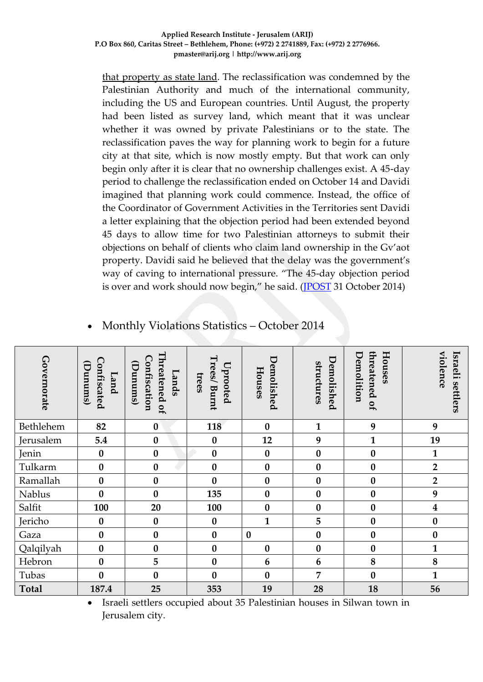that [property](http://www.jpost.com/Israel-News/IDF-expands-state-land-in-West-Bank-by-4000-dunams-373032) as state land. The reclassification was condemned by the Palestinian Authority and much of the international community, including the US and European countries. Until August, the property had been listed as survey land, which meant that it was unclear whether it was owned by private Palestinians or to the state. The reclassification paves the way for planning work to begin for a future city at that site, which is now mostly empty. But that work can only begin only after it is clear that no ownership challenges exist. A 45-day period to challenge the reclassification ended on October 14 and Davidi imagined that planning work could commence. Instead, the office of the Coordinator of Government Activities in the Territories sent Davidi a letter explaining that the objection period had been extended beyond 45 days to allow time for two Palestinian attorneys to submit their objections on behalf of clients who claim land ownership in the Gv'aot property. Davidi said he believed that the delay was the government's way of caving to international pressure. "The 45-day objection period is over and work should now begin," he said. [\(JPOST](http://www.jpost.com/Israel-News/Settler-leader-accuses-state-of-caving-to-pressure-delaying-building-of-5th-Jewish-West-Bank-city-380383) 31 October 2014)

| Governorate  | Confiscated<br>$($ Dunum $\Omega$<br>Land | Threatened of<br>Confiscation<br>$($ Sum $un($ $)$<br>Lands | Trees/ Burnt<br>$U$ prooted<br>trees | Demolished<br>Houses | Demolished<br>structures | Houses<br>Demolition<br>threatened of | violence<br>Israeli<br>settlers |
|--------------|-------------------------------------------|-------------------------------------------------------------|--------------------------------------|----------------------|--------------------------|---------------------------------------|---------------------------------|
| Bethlehem    | 82                                        | $\boldsymbol{0}$                                            | 118                                  | $\boldsymbol{0}$     | $\mathbf{1}$             | 9                                     | 9                               |
| Jerusalem    | 5.4                                       | $\boldsymbol{0}$                                            | $\bf{0}$                             | 12                   | 9                        | 1                                     | 19                              |
| Jenin        | $\bf{0}$                                  | $\boldsymbol{0}$                                            | $\bf{0}$                             | $\boldsymbol{0}$     | $\bf{0}$                 | $\boldsymbol{0}$                      | 1                               |
| Tulkarm      | $\boldsymbol{0}$                          | $\boldsymbol{0}$                                            | $\boldsymbol{0}$                     | $\boldsymbol{0}$     | $\boldsymbol{0}$         | $\boldsymbol{0}$                      | $\overline{2}$                  |
| Ramallah     | $\bf{0}$                                  | $\boldsymbol{0}$                                            | $\bf{0}$                             | $\bf{0}$             | $\bf{0}$                 | $\boldsymbol{0}$                      | $\overline{2}$                  |
| Nablus       | $\bf{0}$                                  | $\boldsymbol{0}$                                            | 135                                  | $\boldsymbol{0}$     | $\bf{0}$                 | $\boldsymbol{0}$                      | 9                               |
| Salfit       | 100                                       | 20                                                          | 100                                  | $\bf{0}$             | $\bf{0}$                 | $\boldsymbol{0}$                      | $\boldsymbol{4}$                |
| Jericho      | $\bf{0}$                                  | $\boldsymbol{0}$                                            | $\boldsymbol{0}$                     | $\mathbf{1}$         | 5                        | $\boldsymbol{0}$                      | $\boldsymbol{0}$                |
| Gaza         | $\boldsymbol{0}$                          | $\boldsymbol{0}$                                            | $\boldsymbol{0}$                     | $\bf{0}$             | $\boldsymbol{0}$         | $\boldsymbol{0}$                      | $\boldsymbol{0}$                |
| Qalqilyah    | $\bf{0}$                                  | $\boldsymbol{0}$                                            | $\boldsymbol{0}$                     | $\boldsymbol{0}$     | $\bf{0}$                 | $\bf{0}$                              | 1                               |
| Hebron       | $\bf{0}$                                  | 5                                                           | $\pmb{0}$                            | 6                    | $\boldsymbol{6}$         | $\bf 8$                               | $\bf 8$                         |
| Tubas        | $\bf{0}$                                  | $\boldsymbol{0}$                                            | $\boldsymbol{0}$                     | $\boldsymbol{0}$     | $\overline{7}$           | $\bf{0}$                              | $\mathbf{1}$                    |
| <b>Total</b> | 187.4                                     | 25                                                          | 353                                  | 19                   | 28                       | 18                                    | 56                              |

### Monthly Violations Statistics – October 2014

 Israeli settlers occupied about 35 Palestinian houses in Silwan town in Jerusalem city.